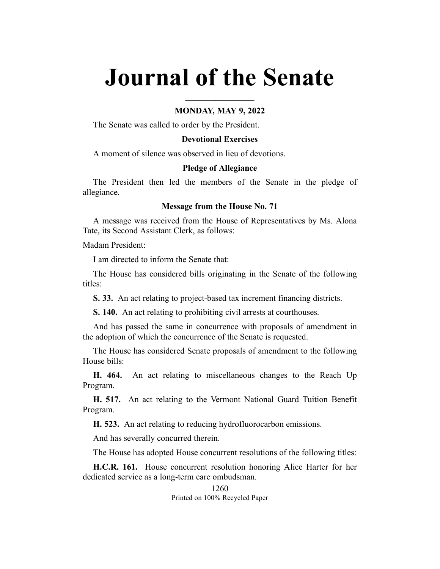# **Journal of the Senate**

## **MONDAY, MAY 9, 2022**

**\_\_\_\_\_\_\_\_\_\_\_\_\_\_\_\_**

The Senate was called to order by the President.

## **Devotional Exercises**

A moment of silence was observed in lieu of devotions.

#### **Pledge of Allegiance**

The President then led the members of the Senate in the pledge of allegiance.

## **Message from the House No. 71**

A message was received from the House of Representatives by Ms. Alona Tate, its Second Assistant Clerk, as follows:

Madam President:

I am directed to inform the Senate that:

The House has considered bills originating in the Senate of the following titles:

**S. 33.** An act relating to project-based tax increment financing districts.

**S. 140.** An act relating to prohibiting civil arrests at courthouses.

And has passed the same in concurrence with proposals of amendment in the adoption of which the concurrence of the Senate is requested.

The House has considered Senate proposals of amendment to the following House bills:

**H. 464.** An act relating to miscellaneous changes to the Reach Up Program.

**H. 517.** An act relating to the Vermont National Guard Tuition Benefit Program.

**H. 523.** An act relating to reducing hydrofluorocarbon emissions.

And has severally concurred therein.

The House has adopted House concurrent resolutions of the following titles:

**H.C.R. 161.** House concurrent resolution honoring Alice Harter for her dedicated service as a long-term care ombudsman.

> 1260 Printed on 100% Recycled Paper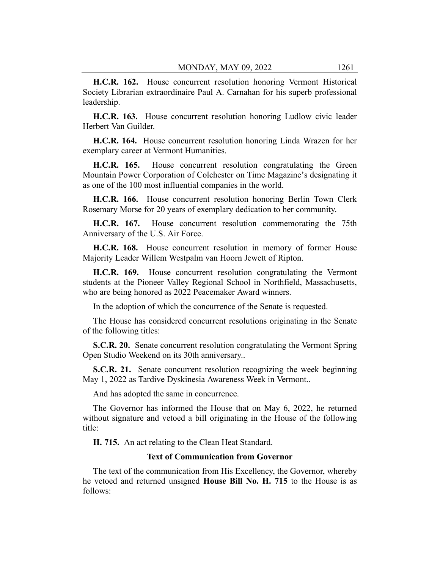**H.C.R. 162.** House concurrent resolution honoring Vermont Historical Society Librarian extraordinaire Paul A. Carnahan for his superb professional leadership.

**H.C.R. 163.** House concurrent resolution honoring Ludlow civic leader Herbert Van Guilder.

**H.C.R. 164.** House concurrent resolution honoring Linda Wrazen for her exemplary career at Vermont Humanities.

**H.C.R. 165.** House concurrent resolution congratulating the Green Mountain Power Corporation of Colchester on Time Magazine's designating it as one of the 100 most influential companies in the world.

**H.C.R. 166.** House concurrent resolution honoring Berlin Town Clerk Rosemary Morse for 20 years of exemplary dedication to her community.

**H.C.R. 167.** House concurrent resolution commemorating the 75th Anniversary of the U.S. Air Force.

**H.C.R. 168.** House concurrent resolution in memory of former House Majority Leader Willem Westpalm van Hoorn Jewett of Ripton.

**H.C.R. 169.** House concurrent resolution congratulating the Vermont students at the Pioneer Valley Regional School in Northfield, Massachusetts, who are being honored as 2022 Peacemaker Award winners.

In the adoption of which the concurrence of the Senate is requested.

The House has considered concurrent resolutions originating in the Senate of the following titles:

**S.C.R. 20.** Senate concurrent resolution congratulating the Vermont Spring Open Studio Weekend on its 30th anniversary..

**S.C.R. 21.** Senate concurrent resolution recognizing the week beginning May 1, 2022 as Tardive Dyskinesia Awareness Week in Vermont..

And has adopted the same in concurrence.

The Governor has informed the House that on May 6, 2022, he returned without signature and vetoed a bill originating in the House of the following title:

**H. 715.** An act relating to the Clean Heat Standard.

#### **Text of Communication from Governor**

The text of the communication from His Excellency, the Governor, whereby he vetoed and returned unsigned **House Bill No. H. 715** to the House is as follows: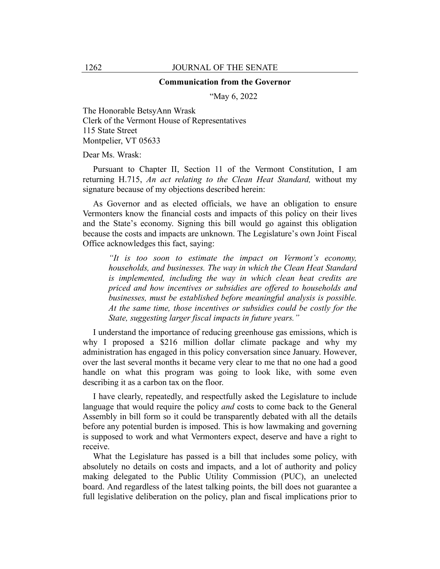#### **Communication from the Governor**

"May 6, 2022

The Honorable BetsyAnn Wrask Clerk of the Vermont House of Representatives 115 State Street Montpelier, VT 05633

Dear Ms. Wrask:

Pursuant to Chapter II, Section 11 of the Vermont Constitution, I am returning H.715, *An act relating to the Clean Heat Standard,* without my signature because of my objections described herein:

As Governor and as elected officials, we have an obligation to ensure Vermonters know the financial costs and impacts of this policy on their lives and the State's economy. Signing this bill would go against this obligation because the costs and impacts are unknown. The Legislature's own Joint Fiscal Office acknowledges this fact, saying:

*"It is too soon to estimate the impact on Vermont's economy, households, and businesses. The way in which the Clean Heat Standard is implemented, including the way in which clean heat credits are priced and how incentives or subsidies are offered to households and businesses, must be established before meaningful analysis is possible. At the same time, those incentives or subsidies could be costly for the State, suggesting larger fiscal impacts in future years."*

I understand the importance of reducing greenhouse gas emissions, which is why I proposed a \$216 million dollar climate package and why my administration has engaged in this policy conversation since January. However, over the last several months it became very clear to me that no one had a good handle on what this program was going to look like, with some even describing it as a carbon tax on the floor.

I have clearly, repeatedly, and respectfully asked the Legislature to include language that would require the policy *and* costs to come back to the General Assembly in bill form so it could be transparently debated with all the details before any potential burden is imposed. This is how lawmaking and governing is supposed to work and what Vermonters expect, deserve and have a right to receive.

What the Legislature has passed is a bill that includes some policy, with absolutely no details on costs and impacts, and a lot of authority and policy making delegated to the Public Utility Commission (PUC), an unelected board. And regardless of the latest talking points, the bill does not guarantee a full legislative deliberation on the policy, plan and fiscal implications prior to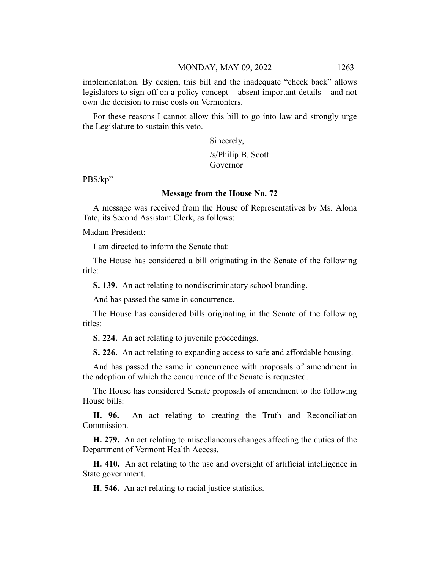implementation. By design, this bill and the inadequate "check back" allows legislators to sign off on a policy concept – absent important details – and not own the decision to raise costs on Vermonters.

For these reasons I cannot allow this bill to go into law and strongly urge the Legislature to sustain this veto.

Sincerely,

/s/Philip B. Scott Governor

PBS/kp"

## **Message from the House No. 72**

A message was received from the House of Representatives by Ms. Alona Tate, its Second Assistant Clerk, as follows:

Madam President:

I am directed to inform the Senate that:

The House has considered a bill originating in the Senate of the following title:

**S. 139.** An act relating to nondiscriminatory school branding.

And has passed the same in concurrence.

The House has considered bills originating in the Senate of the following titles:

**S. 224.** An act relating to juvenile proceedings.

**S. 226.** An act relating to expanding access to safe and affordable housing.

And has passed the same in concurrence with proposals of amendment in the adoption of which the concurrence of the Senate is requested.

The House has considered Senate proposals of amendment to the following House bills:

**H. 96.** An act relating to creating the Truth and Reconciliation Commission.

**H. 279.** An act relating to miscellaneous changes affecting the duties of the Department of Vermont Health Access.

**H. 410.** An act relating to the use and oversight of artificial intelligence in State government.

**H. 546.** An act relating to racial justice statistics.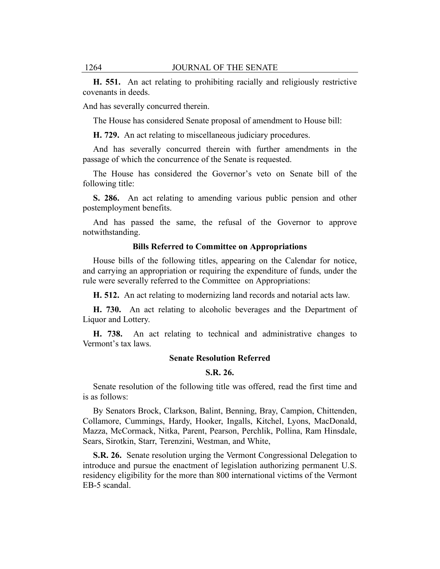**H. 551.** An act relating to prohibiting racially and religiously restrictive covenants in deeds.

And has severally concurred therein.

The House has considered Senate proposal of amendment to House bill:

**H. 729.** An act relating to miscellaneous judiciary procedures.

And has severally concurred therein with further amendments in the passage of which the concurrence of the Senate is requested.

The House has considered the Governor's veto on Senate bill of the following title:

**S. 286.** An act relating to amending various public pension and other postemployment benefits.

And has passed the same, the refusal of the Governor to approve notwithstanding.

#### **Bills Referred to Committee on Appropriations**

House bills of the following titles, appearing on the Calendar for notice, and carrying an appropriation or requiring the expenditure of funds, under the rule were severally referred to the Committee on Appropriations:

**H. 512.** An act relating to modernizing land records and notarial acts law.

**H. 730.** An act relating to alcoholic beverages and the Department of Liquor and Lottery.

**H. 738.** An act relating to technical and administrative changes to Vermont's tax laws.

#### **Senate Resolution Referred**

## **S.R. 26.**

Senate resolution of the following title was offered, read the first time and is as follows:

By Senators Brock, Clarkson, Balint, Benning, Bray, Campion, Chittenden, Collamore, Cummings, Hardy, Hooker, Ingalls, Kitchel, Lyons, MacDonald, Mazza, McCormack, Nitka, Parent, Pearson, Perchlik, Pollina, Ram Hinsdale, Sears, Sirotkin, Starr, Terenzini, Westman, and White,

**S.R. 26.** Senate resolution urging the Vermont Congressional Delegation to introduce and pursue the enactment of legislation authorizing permanent U.S. residency eligibility for the more than 800 international victims of the Vermont EB-5 scandal.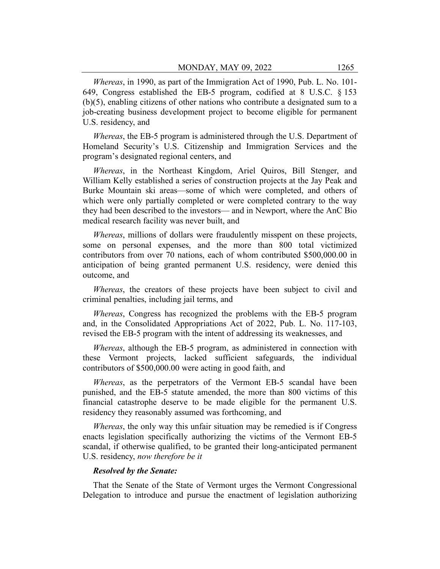*Whereas*, in 1990, as part of the Immigration Act of 1990, Pub. L. No. 101- 649, Congress established the EB-5 program, codified at 8 U.S.C. § 153 (b)(5), enabling citizens of other nations who contribute a designated sum to a job-creating business development project to become eligible for permanent U.S. residency, and

*Whereas*, the EB-5 program is administered through the U.S. Department of Homeland Security's U.S. Citizenship and Immigration Services and the program's designated regional centers, and

*Whereas*, in the Northeast Kingdom, Ariel Quiros, Bill Stenger, and William Kelly established a series of construction projects at the Jay Peak and Burke Mountain ski areas—some of which were completed, and others of which were only partially completed or were completed contrary to the way they had been described to the investors— and in Newport, where the AnC Bio medical research facility was never built, and

*Whereas*, millions of dollars were fraudulently misspent on these projects, some on personal expenses, and the more than 800 total victimized contributors from over 70 nations, each of whom contributed \$500,000.00 in anticipation of being granted permanent U.S. residency, were denied this outcome, and

*Whereas*, the creators of these projects have been subject to civil and criminal penalties, including jail terms, and

*Whereas*, Congress has recognized the problems with the EB-5 program and, in the Consolidated Appropriations Act of 2022, Pub. L. No. 117-103, revised the EB-5 program with the intent of addressing its weaknesses, and

*Whereas*, although the EB-5 program, as administered in connection with these Vermont projects, lacked sufficient safeguards, the individual contributors of \$500,000.00 were acting in good faith, and

*Whereas*, as the perpetrators of the Vermont EB-5 scandal have been punished, and the EB-5 statute amended, the more than 800 victims of this financial catastrophe deserve to be made eligible for the permanent U.S. residency they reasonably assumed was forthcoming, and

*Whereas*, the only way this unfair situation may be remedied is if Congress enacts legislation specifically authorizing the victims of the Vermont EB-5 scandal, if otherwise qualified, to be granted their long-anticipated permanent U.S. residency, *now therefore be it*

## *Resolved by the Senate:*

That the Senate of the State of Vermont urges the Vermont Congressional Delegation to introduce and pursue the enactment of legislation authorizing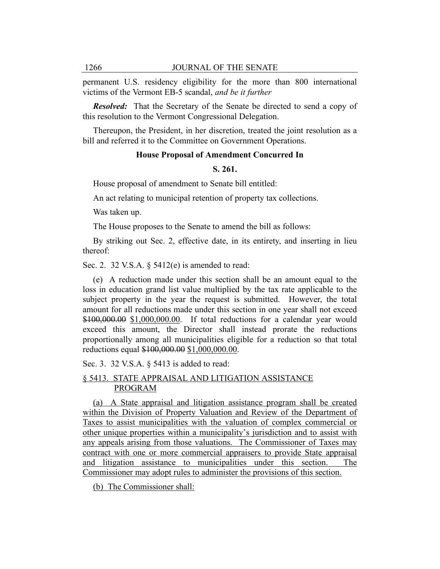permanent U.S. residency eligibility for the more than 800 international victims of the Vermont EB-5 scandal, *and be it further*

*Resolved:* That the Secretary of the Senate be directed to send a copy of this resolution to the Vermont Congressional Delegation.

Thereupon, the President, in her discretion, treated the joint resolution as a bill and referred it to the Committee on Government Operations.

## **House Proposal of Amendment Concurred In**

#### **S. 261.**

House proposal of amendment to Senate bill entitled:

An act relating to municipal retention of property tax collections.

Was taken up.

The House proposes to the Senate to amend the bill as follows:

By striking out Sec. 2, effective date, in its entirety, and inserting in lieu thereof:

Sec. 2. 32 V.S.A. § 5412(e) is amended to read:

(e) A reduction made under this section shall be an amount equal to the loss in education grand list value multiplied by the tax rate applicable to the subject property in the year the request is submitted. However, the total amount for all reductions made under this section in one year shall not exceed \$100,000.00 \$1,000,000.00. If total reductions for a calendar year would exceed this amount, the Director shall instead prorate the reductions proportionally among all municipalities eligible for a reduction so that total reductions equal \$100,000.00 \$1,000,000.00.

Sec. 3. 32 V.S.A. § 5413 is added to read:

## § 5413. STATE APPRAISAL AND LITIGATION ASSISTANCE PROGRAM

(a) A State appraisal and litigation assistance program shall be created within the Division of Property Valuation and Review of the Department of Taxes to assist municipalities with the valuation of complex commercial or other unique properties within a municipality's jurisdiction and to assist with any appeals arising from those valuations. The Commissioner of Taxes may contract with one or more commercial appraisers to provide State appraisal and litigation assistance to municipalities under this section. The Commissioner may adopt rules to administer the provisions of this section.

(b) The Commissioner shall: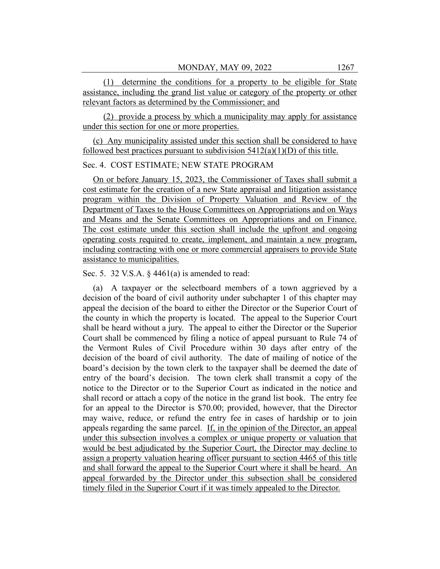(1) determine the conditions for a property to be eligible for State assistance, including the grand list value or category of the property or other relevant factors as determined by the Commissioner; and

(2) provide a process by which a municipality may apply for assistance under this section for one or more properties.

(c) Any municipality assisted under this section shall be considered to have followed best practices pursuant to subdivision  $5412(a)(1)(D)$  of this title.

## Sec. 4. COST ESTIMATE; NEW STATE PROGRAM

On or before January 15, 2023, the Commissioner of Taxes shall submit a cost estimate for the creation of a new State appraisal and litigation assistance program within the Division of Property Valuation and Review of the Department of Taxes to the House Committees on Appropriations and on Ways and Means and the Senate Committees on Appropriations and on Finance. The cost estimate under this section shall include the upfront and ongoing operating costs required to create, implement, and maintain a new program, including contracting with one or more commercial appraisers to provide State assistance to municipalities.

Sec. 5. 32 V.S.A.  $\S$  4461(a) is amended to read:

(a) A taxpayer or the selectboard members of a town aggrieved by a decision of the board of civil authority under subchapter 1 of this chapter may appeal the decision of the board to either the Director or the Superior Court of the county in which the property is located. The appeal to the Superior Court shall be heard without a jury. The appeal to either the Director or the Superior Court shall be commenced by filing a notice of appeal pursuant to Rule 74 of the Vermont Rules of Civil Procedure within 30 days after entry of the decision of the board of civil authority. The date of mailing of notice of the board's decision by the town clerk to the taxpayer shall be deemed the date of entry of the board's decision. The town clerk shall transmit a copy of the notice to the Director or to the Superior Court as indicated in the notice and shall record or attach a copy of the notice in the grand list book. The entry fee for an appeal to the Director is \$70.00; provided, however, that the Director may waive, reduce, or refund the entry fee in cases of hardship or to join appeals regarding the same parcel. If, in the opinion of the Director, an appeal under this subsection involves a complex or unique property or valuation that would be best adjudicated by the Superior Court, the Director may decline to assign a property valuation hearing officer pursuant to section 4465 of this title and shall forward the appeal to the Superior Court where it shall be heard. An appeal forwarded by the Director under this subsection shall be considered timely filed in the Superior Court if it was timely appealed to the Director.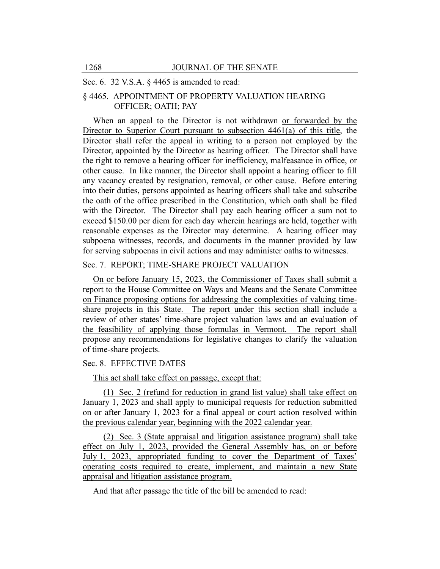#### Sec. 6. 32 V.S.A. § 4465 is amended to read:

## § 4465. APPOINTMENT OF PROPERTY VALUATION HEARING OFFICER; OATH; PAY

When an appeal to the Director is not withdrawn or forwarded by the Director to Superior Court pursuant to subsection 4461(a) of this title, the Director shall refer the appeal in writing to a person not employed by the Director, appointed by the Director as hearing officer. The Director shall have the right to remove a hearing officer for inefficiency, malfeasance in office, or other cause. In like manner, the Director shall appoint a hearing officer to fill any vacancy created by resignation, removal, or other cause. Before entering into their duties, persons appointed as hearing officers shall take and subscribe the oath of the office prescribed in the Constitution, which oath shall be filed with the Director. The Director shall pay each hearing officer a sum not to exceed \$150.00 per diem for each day wherein hearings are held, together with reasonable expenses as the Director may determine. A hearing officer may subpoena witnesses, records, and documents in the manner provided by law for serving subpoenas in civil actions and may administer oaths to witnesses.

## Sec. 7. REPORT; TIME-SHARE PROJECT VALUATION

On or before January 15, 2023, the Commissioner of Taxes shall submit a report to the House Committee on Ways and Means and the Senate Committee on Finance proposing options for addressing the complexities of valuing timeshare projects in this State. The report under this section shall include a review of other states' time-share project valuation laws and an evaluation of the feasibility of applying those formulas in Vermont. The report shall propose any recommendations for legislative changes to clarify the valuation of time-share projects.

## Sec. 8. EFFECTIVE DATES

This act shall take effect on passage, except that:

(1) Sec. 2 (refund for reduction in grand list value) shall take effect on January 1, 2023 and shall apply to municipal requests for reduction submitted on or after January 1, 2023 for a final appeal or court action resolved within the previous calendar year, beginning with the 2022 calendar year.

(2) Sec. 3 (State appraisal and litigation assistance program) shall take effect on July 1, 2023, provided the General Assembly has, on or before July 1, 2023, appropriated funding to cover the Department of Taxes' operating costs required to create, implement, and maintain a new State appraisal and litigation assistance program.

And that after passage the title of the bill be amended to read: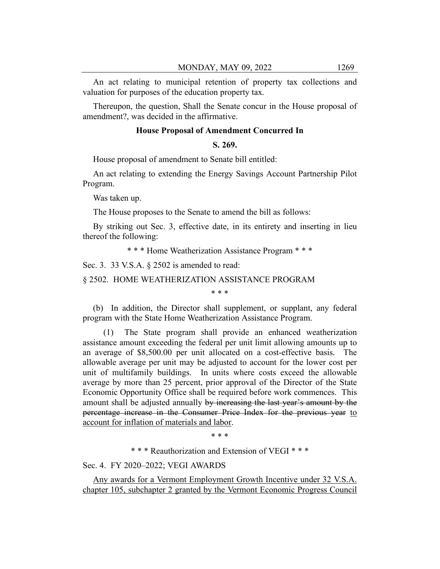An act relating to municipal retention of property tax collections and valuation for purposes of the education property tax.

Thereupon, the question, Shall the Senate concur in the House proposal of amendment?, was decided in the affirmative.

## **House Proposal of Amendment Concurred In**

## **S. 269.**

House proposal of amendment to Senate bill entitled:

An act relating to extending the Energy Savings Account Partnership Pilot Program.

Was taken up.

The House proposes to the Senate to amend the bill as follows:

By striking out Sec. 3, effective date, in its entirety and inserting in lieu thereof the following:

\* \* \* Home Weatherization Assistance Program \* \* \*

Sec. 3. 33 V.S.A. § 2502 is amended to read:

§ 2502. HOME WEATHERIZATION ASSISTANCE PROGRAM

\* \* \*

(b) In addition, the Director shall supplement, or supplant, any federal program with the State Home Weatherization Assistance Program.

(1) The State program shall provide an enhanced weatherization assistance amount exceeding the federal per unit limit allowing amounts up to an average of \$8,500.00 per unit allocated on a cost-effective basis. The allowable average per unit may be adjusted to account for the lower cost per unit of multifamily buildings. In units where costs exceed the allowable average by more than 25 percent, prior approval of the Director of the State Economic Opportunity Office shall be required before work commences. This amount shall be adjusted annually by increasing the last year's amount by the percentage increase in the Consumer Price Index for the previous year to account for inflation of materials and labor.

\* \* \*

\* \* \* Reauthorization and Extension of VEGI \* \* \*

Sec. 4. FY 2020–2022; VEGI AWARDS

Any awards for a Vermont Employment Growth Incentive under 32 V.S.A. chapter 105, subchapter 2 granted by the Vermont Economic Progress Council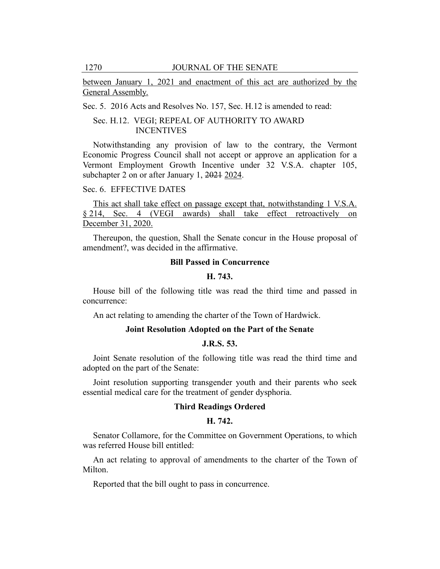between January 1, 2021 and enactment of this act are authorized by the General Assembly.

Sec. 5. 2016 Acts and Resolves No. 157, Sec. H.12 is amended to read:

## Sec. H.12. VEGI; REPEAL OF AUTHORITY TO AWARD INCENTIVES

Notwithstanding any provision of law to the contrary, the Vermont Economic Progress Council shall not accept or approve an application for a Vermont Employment Growth Incentive under 32 V.S.A. chapter 105, subchapter 2 on or after January 1, 2021 2024.

## Sec. 6. EFFECTIVE DATES

This act shall take effect on passage except that, notwithstanding 1 V.S.A. § 214, Sec. 4 (VEGI awards) shall take effect retroactively on December 31, 2020.

Thereupon, the question, Shall the Senate concur in the House proposal of amendment?, was decided in the affirmative.

## **Bill Passed in Concurrence**

## **H. 743.**

House bill of the following title was read the third time and passed in concurrence:

An act relating to amending the charter of the Town of Hardwick.

## **Joint Resolution Adopted on the Part of the Senate**

## **J.R.S. 53.**

Joint Senate resolution of the following title was read the third time and adopted on the part of the Senate:

Joint resolution supporting transgender youth and their parents who seek essential medical care for the treatment of gender dysphoria.

## **Third Readings Ordered**

## **H. 742.**

Senator Collamore, for the Committee on Government Operations, to which was referred House bill entitled:

An act relating to approval of amendments to the charter of the Town of Milton.

Reported that the bill ought to pass in concurrence.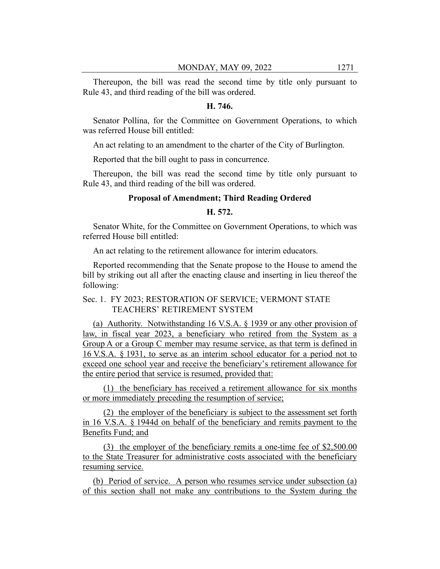Thereupon, the bill was read the second time by title only pursuant to Rule 43, and third reading of the bill was ordered.

## **H. 746.**

Senator Pollina, for the Committee on Government Operations, to which was referred House bill entitled:

An act relating to an amendment to the charter of the City of Burlington.

Reported that the bill ought to pass in concurrence.

Thereupon, the bill was read the second time by title only pursuant to Rule 43, and third reading of the bill was ordered.

## **Proposal of Amendment; Third Reading Ordered**

## **H. 572.**

Senator White, for the Committee on Government Operations, to which was referred House bill entitled:

An act relating to the retirement allowance for interim educators.

Reported recommending that the Senate propose to the House to amend the bill by striking out all after the enacting clause and inserting in lieu thereof the following:

## Sec. 1. FY 2023; RESTORATION OF SERVICE; VERMONT STATE TEACHERS' RETIREMENT SYSTEM

(a) Authority. Notwithstanding 16 V.S.A. § 1939 or any other provision of law, in fiscal year 2023, a beneficiary who retired from the System as a Group A or a Group C member may resume service, as that term is defined in 16 V.S.A. § 1931, to serve as an interim school educator for a period not to exceed one school year and receive the beneficiary's retirement allowance for the entire period that service is resumed, provided that:

(1) the beneficiary has received a retirement allowance for six months or more immediately preceding the resumption of service;

(2) the employer of the beneficiary is subject to the assessment set forth in 16 V.S.A. § 1944d on behalf of the beneficiary and remits payment to the Benefits Fund; and

(3) the employer of the beneficiary remits a one-time fee of \$2,500.00 to the State Treasurer for administrative costs associated with the beneficiary resuming service.

(b) Period of service. A person who resumes service under subsection (a) of this section shall not make any contributions to the System during the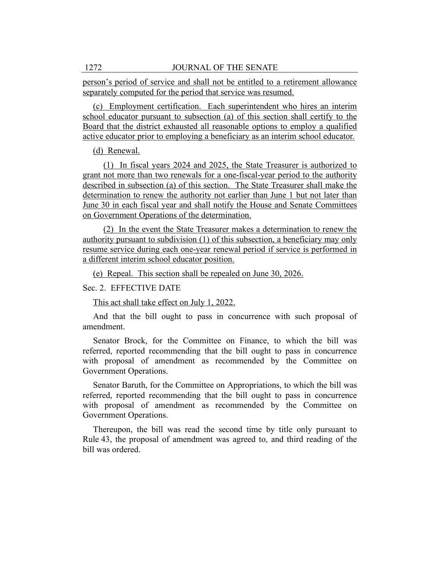person's period of service and shall not be entitled to a retirement allowance separately computed for the period that service was resumed.

(c) Employment certification. Each superintendent who hires an interim school educator pursuant to subsection (a) of this section shall certify to the Board that the district exhausted all reasonable options to employ a qualified active educator prior to employing a beneficiary as an interim school educator.

## (d) Renewal.

(1) In fiscal years 2024 and 2025, the State Treasurer is authorized to grant not more than two renewals for a one-fiscal-year period to the authority described in subsection (a) of this section. The State Treasurer shall make the determination to renew the authority not earlier than June 1 but not later than June 30 in each fiscal year and shall notify the House and Senate Committees on Government Operations of the determination.

(2) In the event the State Treasurer makes a determination to renew the authority pursuant to subdivision (1) of this subsection, a beneficiary may only resume service during each one-year renewal period if service is performed in a different interim school educator position.

(e) Repeal. This section shall be repealed on June 30, 2026.

## Sec. 2. EFFECTIVE DATE

This act shall take effect on July 1, 2022.

And that the bill ought to pass in concurrence with such proposal of amendment.

Senator Brock, for the Committee on Finance, to which the bill was referred, reported recommending that the bill ought to pass in concurrence with proposal of amendment as recommended by the Committee on Government Operations.

Senator Baruth, for the Committee on Appropriations, to which the bill was referred, reported recommending that the bill ought to pass in concurrence with proposal of amendment as recommended by the Committee on Government Operations.

Thereupon, the bill was read the second time by title only pursuant to Rule 43, the proposal of amendment was agreed to, and third reading of the bill was ordered.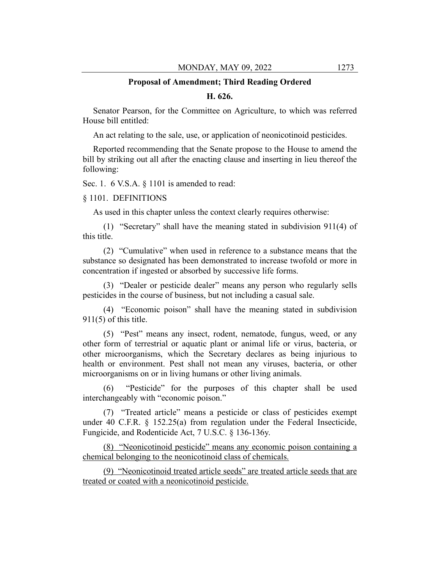#### **Proposal of Amendment; Third Reading Ordered**

## **H. 626.**

Senator Pearson, for the Committee on Agriculture, to which was referred House bill entitled:

An act relating to the sale, use, or application of neonicotinoid pesticides.

Reported recommending that the Senate propose to the House to amend the bill by striking out all after the enacting clause and inserting in lieu thereof the following:

Sec. 1. 6 V.S.A. § 1101 is amended to read:

#### § 1101. DEFINITIONS

As used in this chapter unless the context clearly requires otherwise:

(1) "Secretary" shall have the meaning stated in subdivision 911(4) of this title.

(2) "Cumulative" when used in reference to a substance means that the substance so designated has been demonstrated to increase twofold or more in concentration if ingested or absorbed by successive life forms.

(3) "Dealer or pesticide dealer" means any person who regularly sells pesticides in the course of business, but not including a casual sale.

(4) "Economic poison" shall have the meaning stated in subdivision  $911(5)$  of this title.

(5) "Pest" means any insect, rodent, nematode, fungus, weed, or any other form of terrestrial or aquatic plant or animal life or virus, bacteria, or other microorganisms, which the Secretary declares as being injurious to health or environment. Pest shall not mean any viruses, bacteria, or other microorganisms on or in living humans or other living animals.

(6) "Pesticide" for the purposes of this chapter shall be used interchangeably with "economic poison."

(7) "Treated article" means a pesticide or class of pesticides exempt under 40 C.F.R. § 152.25(a) from regulation under the Federal Insecticide, Fungicide, and Rodenticide Act, 7 U.S.C. § 136-136y.

(8) "Neonicotinoid pesticide" means any economic poison containing a chemical belonging to the neonicotinoid class of chemicals.

(9) "Neonicotinoid treated article seeds" are treated article seeds that are treated or coated with a neonicotinoid pesticide.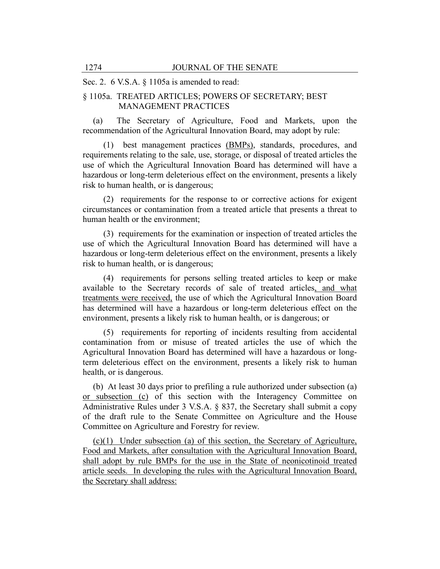## Sec. 2. 6 V.S.A. § 1105a is amended to read:

# § 1105a. TREATED ARTICLES; POWERS OF SECRETARY; BEST MANAGEMENT PRACTICES

(a) The Secretary of Agriculture, Food and Markets, upon the recommendation of the Agricultural Innovation Board, may adopt by rule:

(1) best management practices (BMPs), standards, procedures, and requirements relating to the sale, use, storage, or disposal of treated articles the use of which the Agricultural Innovation Board has determined will have a hazardous or long-term deleterious effect on the environment, presents a likely risk to human health, or is dangerous;

(2) requirements for the response to or corrective actions for exigent circumstances or contamination from a treated article that presents a threat to human health or the environment;

(3) requirements for the examination or inspection of treated articles the use of which the Agricultural Innovation Board has determined will have a hazardous or long-term deleterious effect on the environment, presents a likely risk to human health, or is dangerous;

(4) requirements for persons selling treated articles to keep or make available to the Secretary records of sale of treated articles, and what treatments were received, the use of which the Agricultural Innovation Board has determined will have a hazardous or long-term deleterious effect on the environment, presents a likely risk to human health, or is dangerous; or

(5) requirements for reporting of incidents resulting from accidental contamination from or misuse of treated articles the use of which the Agricultural Innovation Board has determined will have a hazardous or longterm deleterious effect on the environment, presents a likely risk to human health, or is dangerous.

(b) At least 30 days prior to prefiling a rule authorized under subsection (a) or subsection (c) of this section with the Interagency Committee on Administrative Rules under 3 V.S.A. § 837, the Secretary shall submit a copy of the draft rule to the Senate Committee on Agriculture and the House Committee on Agriculture and Forestry for review.

(c)(1) Under subsection (a) of this section, the Secretary of Agriculture, Food and Markets, after consultation with the Agricultural Innovation Board, shall adopt by rule BMPs for the use in the State of neonicotinoid treated article seeds. In developing the rules with the Agricultural Innovation Board, the Secretary shall address: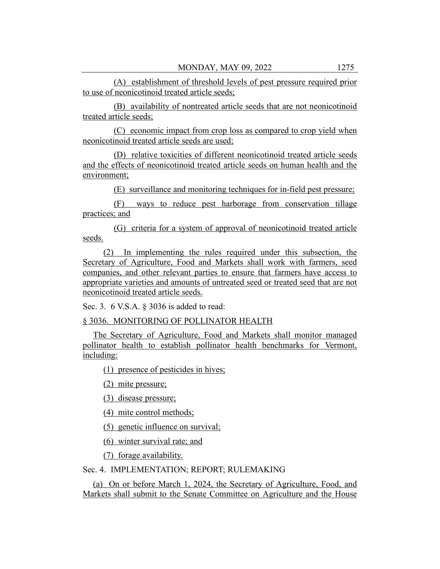(A) establishment of threshold levels of pest pressure required prior to use of neonicotinoid treated article seeds;

(B) availability of nontreated article seeds that are not neonicotinoid treated article seeds;

(C) economic impact from crop loss as compared to crop yield when neonicotinoid treated article seeds are used;

(D) relative toxicities of different neonicotinoid treated article seeds and the effects of neonicotinoid treated article seeds on human health and the environment;

(E) surveillance and monitoring techniques for in-field pest pressure;

(F) ways to reduce pest harborage from conservation tillage practices; and

(G) criteria for a system of approval of neonicotinoid treated article seeds.

(2) In implementing the rules required under this subsection, the Secretary of Agriculture, Food and Markets shall work with farmers, seed companies, and other relevant parties to ensure that farmers have access to appropriate varieties and amounts of untreated seed or treated seed that are not neonicotinoid treated article seeds.

Sec. 3. 6 V.S.A. § 3036 is added to read:

§ 3036. MONITORING OF POLLINATOR HEALTH

The Secretary of Agriculture, Food and Markets shall monitor managed pollinator health to establish pollinator health benchmarks for Vermont, including:

(1) presence of pesticides in hives;

(2) mite pressure;

(3) disease pressure;

(4) mite control methods;

(5) genetic influence on survival;

(6) winter survival rate; and

(7) forage availability.

## Sec. 4. IMPLEMENTATION; REPORT; RULEMAKING

(a) On or before March 1, 2024, the Secretary of Agriculture, Food, and Markets shall submit to the Senate Committee on Agriculture and the House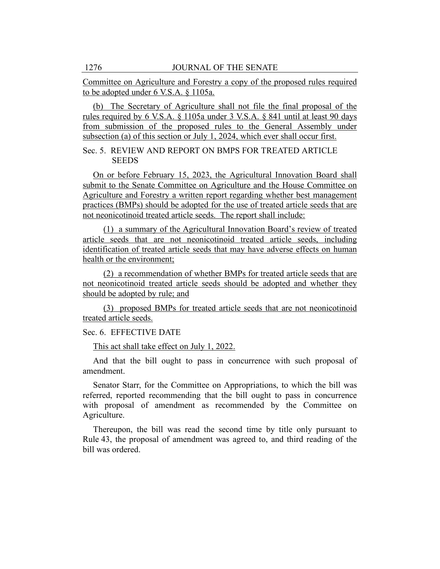Committee on Agriculture and Forestry a copy of the proposed rules required to be adopted under 6 V.S.A. § 1105a.

(b) The Secretary of Agriculture shall not file the final proposal of the rules required by 6 V.S.A. § 1105a under 3 V.S.A. § 841 until at least 90 days from submission of the proposed rules to the General Assembly under subsection (a) of this section or July 1, 2024, which ever shall occur first.

Sec. 5. REVIEW AND REPORT ON BMPS FOR TREATED ARTICLE **SEEDS** 

On or before February 15, 2023, the Agricultural Innovation Board shall submit to the Senate Committee on Agriculture and the House Committee on Agriculture and Forestry a written report regarding whether best management practices (BMPs) should be adopted for the use of treated article seeds that are not neonicotinoid treated article seeds. The report shall include:

(1) a summary of the Agricultural Innovation Board's review of treated article seeds that are not neonicotinoid treated article seeds, including identification of treated article seeds that may have adverse effects on human health or the environment;

(2) a recommendation of whether BMPs for treated article seeds that are not neonicotinoid treated article seeds should be adopted and whether they should be adopted by rule; and

(3) proposed BMPs for treated article seeds that are not neonicotinoid treated article seeds.

Sec. 6. EFFECTIVE DATE

This act shall take effect on July 1, 2022.

And that the bill ought to pass in concurrence with such proposal of amendment.

Senator Starr, for the Committee on Appropriations, to which the bill was referred, reported recommending that the bill ought to pass in concurrence with proposal of amendment as recommended by the Committee on Agriculture.

Thereupon, the bill was read the second time by title only pursuant to Rule 43, the proposal of amendment was agreed to, and third reading of the bill was ordered.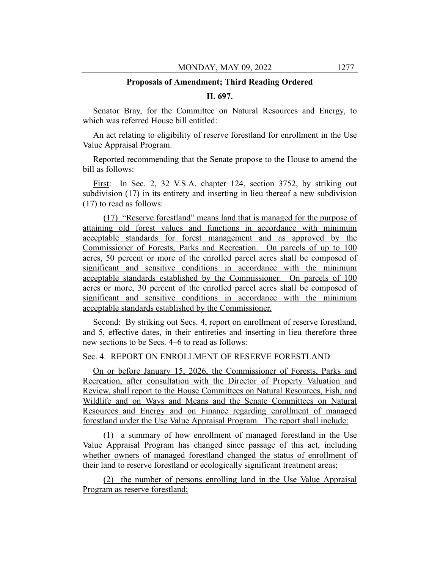#### **Proposals of Amendment; Third Reading Ordered**

## **H. 697.**

Senator Bray, for the Committee on Natural Resources and Energy, to which was referred House bill entitled:

An act relating to eligibility of reserve forestland for enrollment in the Use Value Appraisal Program.

Reported recommending that the Senate propose to the House to amend the bill as follows:

First: In Sec. 2, 32 V.S.A. chapter 124, section 3752, by striking out subdivision (17) in its entirety and inserting in lieu thereof a new subdivision (17) to read as follows:

(17) "Reserve forestland" means land that is managed for the purpose of attaining old forest values and functions in accordance with minimum acceptable standards for forest management and as approved by the Commissioner of Forests, Parks and Recreation. On parcels of up to 100 acres, 50 percent or more of the enrolled parcel acres shall be composed of significant and sensitive conditions in accordance with the minimum acceptable standards established by the Commissioner. On parcels of 100 acres or more, 30 percent of the enrolled parcel acres shall be composed of significant and sensitive conditions in accordance with the minimum acceptable standards established by the Commissioner.

Second: By striking out Secs. 4, report on enrollment of reserve forestland, and 5, effective dates, in their entireties and inserting in lieu therefore three new sections to be Secs. 4–6 to read as follows:

## Sec. 4. REPORT ON ENROLLMENT OF RESERVE FORESTLAND

On or before January 15, 2026, the Commissioner of Forests, Parks and Recreation, after consultation with the Director of Property Valuation and Review, shall report to the House Committees on Natural Resources, Fish, and Wildlife and on Ways and Means and the Senate Committees on Natural Resources and Energy and on Finance regarding enrollment of managed forestland under the Use Value Appraisal Program. The report shall include:

(1) a summary of how enrollment of managed forestland in the Use Value Appraisal Program has changed since passage of this act, including whether owners of managed forestland changed the status of enrollment of their land to reserve forestland or ecologically significant treatment areas;

(2) the number of persons enrolling land in the Use Value Appraisal Program as reserve forestland;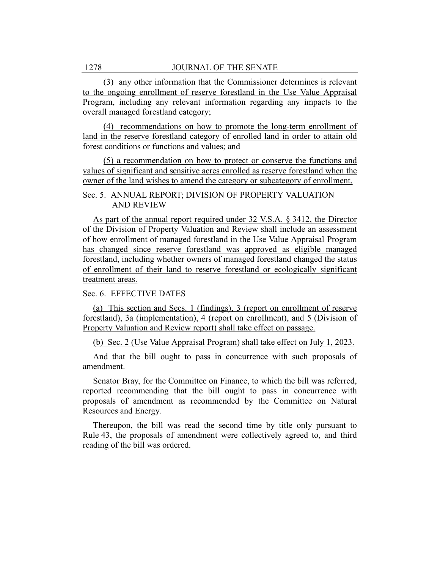(3) any other information that the Commissioner determines is relevant to the ongoing enrollment of reserve forestland in the Use Value Appraisal Program, including any relevant information regarding any impacts to the overall managed forestland category;

(4) recommendations on how to promote the long-term enrollment of land in the reserve forestland category of enrolled land in order to attain old forest conditions or functions and values; and

(5) a recommendation on how to protect or conserve the functions and values of significant and sensitive acres enrolled as reserve forestland when the owner of the land wishes to amend the category or subcategory of enrollment.

Sec. 5. ANNUAL REPORT; DIVISION OF PROPERTY VALUATION AND REVIEW

As part of the annual report required under 32 V.S.A. § 3412, the Director of the Division of Property Valuation and Review shall include an assessment of how enrollment of managed forestland in the Use Value Appraisal Program has changed since reserve forestland was approved as eligible managed forestland, including whether owners of managed forestland changed the status of enrollment of their land to reserve forestland or ecologically significant treatment areas.

## Sec. 6. EFFECTIVE DATES

(a) This section and Secs. 1 (findings), 3 (report on enrollment of reserve forestland), 3a (implementation), 4 (report on enrollment), and 5 (Division of Property Valuation and Review report) shall take effect on passage.

(b) Sec. 2 (Use Value Appraisal Program) shall take effect on July 1, 2023.

And that the bill ought to pass in concurrence with such proposals of amendment.

Senator Bray, for the Committee on Finance, to which the bill was referred, reported recommending that the bill ought to pass in concurrence with proposals of amendment as recommended by the Committee on Natural Resources and Energy.

Thereupon, the bill was read the second time by title only pursuant to Rule 43, the proposals of amendment were collectively agreed to, and third reading of the bill was ordered.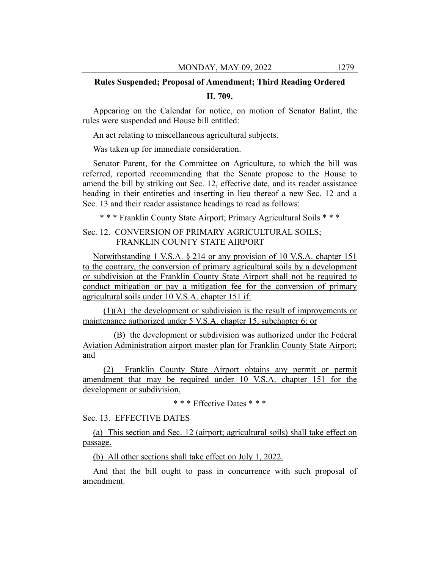## **Rules Suspended; Proposal of Amendment; Third Reading Ordered**

#### **H. 709.**

Appearing on the Calendar for notice, on motion of Senator Balint, the rules were suspended and House bill entitled:

An act relating to miscellaneous agricultural subjects.

Was taken up for immediate consideration.

Senator Parent, for the Committee on Agriculture, to which the bill was referred, reported recommending that the Senate propose to the House to amend the bill by striking out Sec. 12, effective date, and its reader assistance heading in their entireties and inserting in lieu thereof a new Sec. 12 and a Sec. 13 and their reader assistance headings to read as follows:

\* \* \* Franklin County State Airport; Primary Agricultural Soils \* \* \*

## Sec. 12. CONVERSION OF PRIMARY AGRICULTURAL SOILS; FRANKLIN COUNTY STATE AIRPORT

Notwithstanding 1 V.S.A. § 214 or any provision of 10 V.S.A. chapter 151 to the contrary, the conversion of primary agricultural soils by a development or subdivision at the Franklin County State Airport shall not be required to conduct mitigation or pay a mitigation fee for the conversion of primary agricultural soils under 10 V.S.A. chapter 151 if:

(1)(A) the development or subdivision is the result of improvements or maintenance authorized under 5 V.S.A. chapter 15, subchapter 6; or

(B) the development or subdivision was authorized under the Federal Aviation Administration airport master plan for Franklin County State Airport; and

(2) Franklin County State Airport obtains any permit or permit amendment that may be required under 10 V.S.A. chapter 151 for the development or subdivision.

\* \* \* Effective Dates \* \* \*

Sec. 13. EFFECTIVE DATES

(a) This section and Sec. 12 (airport; agricultural soils) shall take effect on passage.

(b) All other sections shall take effect on July 1, 2022.

And that the bill ought to pass in concurrence with such proposal of amendment.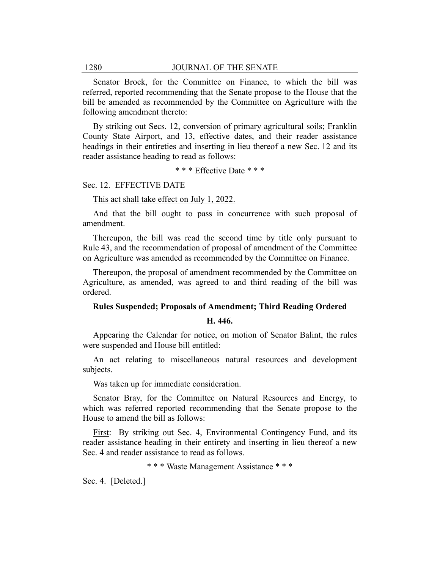Senator Brock, for the Committee on Finance, to which the bill was referred, reported recommending that the Senate propose to the House that the bill be amended as recommended by the Committee on Agriculture with the following amendment thereto:

By striking out Secs. 12, conversion of primary agricultural soils; Franklin County State Airport, and 13, effective dates, and their reader assistance headings in their entireties and inserting in lieu thereof a new Sec. 12 and its reader assistance heading to read as follows:

\* \* \* Effective Date \* \* \*

#### Sec. 12. EFFECTIVE DATE

#### This act shall take effect on July 1, 2022.

And that the bill ought to pass in concurrence with such proposal of amendment.

Thereupon, the bill was read the second time by title only pursuant to Rule 43, and the recommendation of proposal of amendment of the Committee on Agriculture was amended as recommended by the Committee on Finance.

Thereupon, the proposal of amendment recommended by the Committee on Agriculture, as amended, was agreed to and third reading of the bill was ordered.

#### **Rules Suspended; Proposals of Amendment; Third Reading Ordered**

## **H. 446.**

Appearing the Calendar for notice, on motion of Senator Balint, the rules were suspended and House bill entitled:

An act relating to miscellaneous natural resources and development subjects.

Was taken up for immediate consideration.

Senator Bray, for the Committee on Natural Resources and Energy, to which was referred reported recommending that the Senate propose to the House to amend the bill as follows:

First: By striking out Sec. 4, Environmental Contingency Fund, and its reader assistance heading in their entirety and inserting in lieu thereof a new Sec. 4 and reader assistance to read as follows.

\* \* \* Waste Management Assistance \* \* \*

Sec. 4. [Deleted.]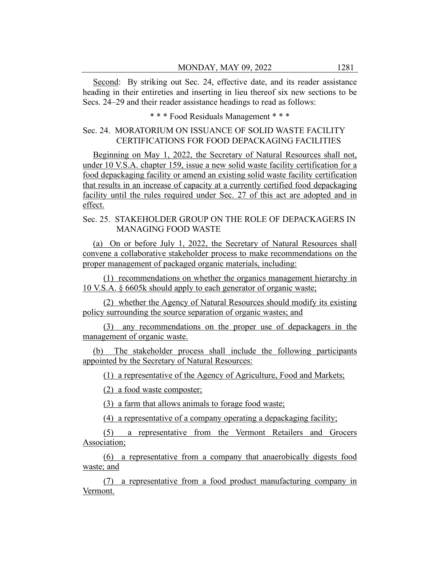Second: By striking out Sec. 24, effective date, and its reader assistance heading in their entireties and inserting in lieu thereof six new sections to be Secs. 24–29 and their reader assistance headings to read as follows:

\* \* \* Food Residuals Management \* \* \*

## Sec. 24. MORATORIUM ON ISSUANCE OF SOLID WASTE FACILITY CERTIFICATIONS FOR FOOD DEPACKAGING FACILITIES

Beginning on May 1, 2022, the Secretary of Natural Resources shall not, under 10 V.S.A. chapter 159, issue a new solid waste facility certification for a food depackaging facility or amend an existing solid waste facility certification that results in an increase of capacity at a currently certified food depackaging facility until the rules required under Sec. 27 of this act are adopted and in effect.

## Sec. 25. STAKEHOLDER GROUP ON THE ROLE OF DEPACKAGERS IN MANAGING FOOD WASTE

(a) On or before July 1, 2022, the Secretary of Natural Resources shall convene a collaborative stakeholder process to make recommendations on the proper management of packaged organic materials, including:

(1) recommendations on whether the organics management hierarchy in 10 V.S.A. § 6605k should apply to each generator of organic waste;

(2) whether the Agency of Natural Resources should modify its existing policy surrounding the source separation of organic wastes; and

(3) any recommendations on the proper use of depackagers in the management of organic waste.

(b) The stakeholder process shall include the following participants appointed by the Secretary of Natural Resources:

(1) a representative of the Agency of Agriculture, Food and Markets;

(2) a food waste composter;

(3) a farm that allows animals to forage food waste;

(4) a representative of a company operating a depackaging facility;

(5) a representative from the Vermont Retailers and Grocers Association;

(6) a representative from a company that anaerobically digests food waste; and

(7) a representative from a food product manufacturing company in Vermont.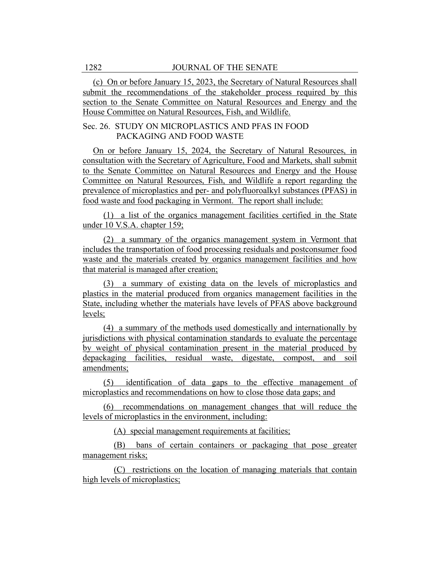(c) On or before January 15, 2023, the Secretary of Natural Resources shall submit the recommendations of the stakeholder process required by this section to the Senate Committee on Natural Resources and Energy and the House Committee on Natural Resources, Fish, and Wildlife.

## Sec. 26. STUDY ON MICROPLASTICS AND PFAS IN FOOD PACKAGING AND FOOD WASTE

On or before January 15, 2024, the Secretary of Natural Resources, in consultation with the Secretary of Agriculture, Food and Markets, shall submit to the Senate Committee on Natural Resources and Energy and the House Committee on Natural Resources, Fish, and Wildlife a report regarding the prevalence of microplastics and per- and polyfluoroalkyl substances (PFAS) in food waste and food packaging in Vermont. The report shall include:

(1) a list of the organics management facilities certified in the State under 10 V.S.A. chapter 159;

(2) a summary of the organics management system in Vermont that includes the transportation of food processing residuals and postconsumer food waste and the materials created by organics management facilities and how that material is managed after creation;

(3) a summary of existing data on the levels of microplastics and plastics in the material produced from organics management facilities in the State, including whether the materials have levels of PFAS above background levels;

(4) a summary of the methods used domestically and internationally by jurisdictions with physical contamination standards to evaluate the percentage by weight of physical contamination present in the material produced by depackaging facilities, residual waste, digestate, compost, and soil amendments;

(5) identification of data gaps to the effective management of microplastics and recommendations on how to close those data gaps; and

(6) recommendations on management changes that will reduce the levels of microplastics in the environment, including:

(A) special management requirements at facilities;

(B) bans of certain containers or packaging that pose greater management risks;

(C) restrictions on the location of managing materials that contain high levels of microplastics;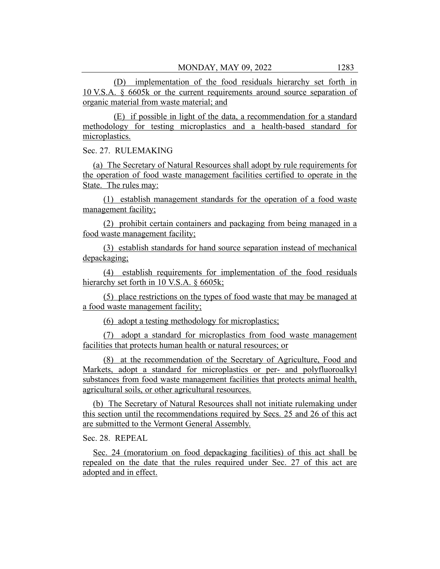(D) implementation of the food residuals hierarchy set forth in 10 V.S.A. § 6605k or the current requirements around source separation of organic material from waste material; and

(E) if possible in light of the data, a recommendation for a standard methodology for testing microplastics and a health-based standard for microplastics.

Sec. 27. RULEMAKING

(a) The Secretary of Natural Resources shall adopt by rule requirements for the operation of food waste management facilities certified to operate in the State. The rules may:

(1) establish management standards for the operation of a food waste management facility;

(2) prohibit certain containers and packaging from being managed in a food waste management facility;

(3) establish standards for hand source separation instead of mechanical depackaging;

(4) establish requirements for implementation of the food residuals hierarchy set forth in 10 V.S.A. § 6605k;

(5) place restrictions on the types of food waste that may be managed at a food waste management facility;

(6) adopt a testing methodology for microplastics;

(7) adopt a standard for microplastics from food waste management facilities that protects human health or natural resources; or

(8) at the recommendation of the Secretary of Agriculture, Food and Markets, adopt a standard for microplastics or per- and polyfluoroalkyl substances from food waste management facilities that protects animal health, agricultural soils, or other agricultural resources.

(b) The Secretary of Natural Resources shall not initiate rulemaking under this section until the recommendations required by Secs. 25 and 26 of this act are submitted to the Vermont General Assembly.

Sec. 28. REPEAL

Sec. 24 (moratorium on food depackaging facilities) of this act shall be repealed on the date that the rules required under Sec. 27 of this act are adopted and in effect.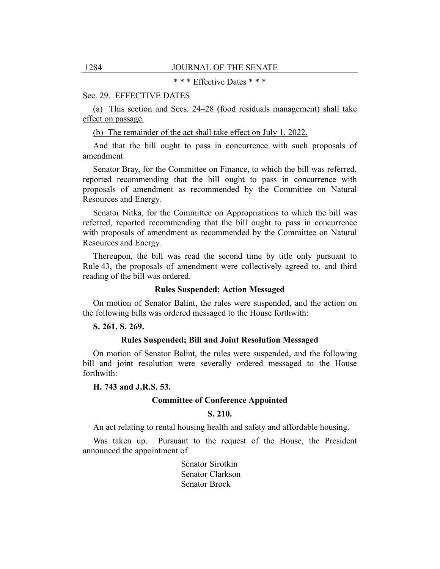\* \* \* Effective Dates \* \* \*

#### Sec. 29. EFFECTIVE DATES

(a) This section and Secs. 24–28 (food residuals management) shall take effect on passage.

(b) The remainder of the act shall take effect on July 1, 2022.

And that the bill ought to pass in concurrence with such proposals of amendment.

Senator Bray, for the Committee on Finance, to which the bill was referred, reported recommending that the bill ought to pass in concurrence with proposals of amendment as recommended by the Committee on Natural Resources and Energy.

Senator Nitka, for the Committee on Appropriations to which the bill was referred, reported recommending that the bill ought to pass in concurrence with proposals of amendment as recommended by the Committee on Natural Resources and Energy.

Thereupon, the bill was read the second time by title only pursuant to Rule 43, the proposals of amendment were collectively agreed to, and third reading of the bill was ordered.

#### **Rules Suspended; Action Messaged**

On motion of Senator Balint, the rules were suspended, and the action on the following bills was ordered messaged to the House forthwith:

#### **S. 261, S. 269.**

## **Rules Suspended; Bill and Joint Resolution Messaged**

On motion of Senator Balint, the rules were suspended, and the following bill and joint resolution were severally ordered messaged to the House forthwith:

## **H. 743 and J.R.S. 53.**

## **Committee of Conference Appointed**

## **S. 210.**

An act relating to rental housing health and safety and affordable housing.

Was taken up. Pursuant to the request of the House, the President announced the appointment of

> Senator Sirotkin Senator Clarkson Senator Brock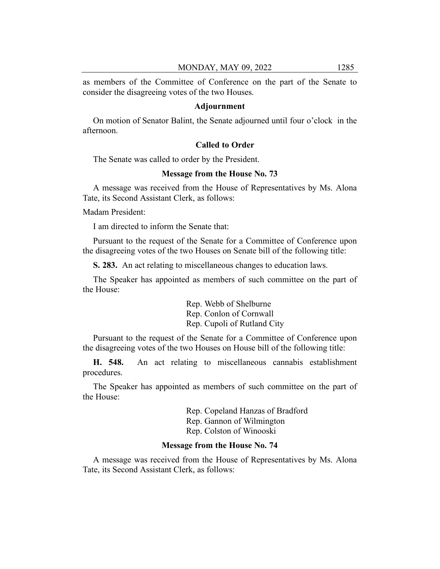as members of the Committee of Conference on the part of the Senate to consider the disagreeing votes of the two Houses.

## **Adjournment**

On motion of Senator Balint, the Senate adjourned until four o'clock in the afternoon.

## **Called to Order**

The Senate was called to order by the President.

## **Message from the House No. 73**

A message was received from the House of Representatives by Ms. Alona Tate, its Second Assistant Clerk, as follows:

Madam President:

I am directed to inform the Senate that:

Pursuant to the request of the Senate for a Committee of Conference upon the disagreeing votes of the two Houses on Senate bill of the following title:

**S. 283.** An act relating to miscellaneous changes to education laws.

The Speaker has appointed as members of such committee on the part of the House:

> Rep. Webb of Shelburne Rep. Conlon of Cornwall Rep. Cupoli of Rutland City

Pursuant to the request of the Senate for a Committee of Conference upon the disagreeing votes of the two Houses on House bill of the following title:

**H. 548.** An act relating to miscellaneous cannabis establishment procedures.

The Speaker has appointed as members of such committee on the part of the House:

> Rep. Copeland Hanzas of Bradford Rep. Gannon of Wilmington Rep. Colston of Winooski

#### **Message from the House No. 74**

A message was received from the House of Representatives by Ms. Alona Tate, its Second Assistant Clerk, as follows: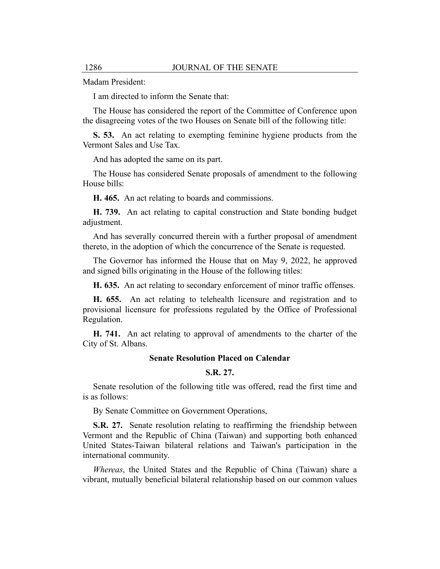Madam President:

I am directed to inform the Senate that:

The House has considered the report of the Committee of Conference upon the disagreeing votes of the two Houses on Senate bill of the following title:

**S. 53.** An act relating to exempting feminine hygiene products from the Vermont Sales and Use Tax.

And has adopted the same on its part.

The House has considered Senate proposals of amendment to the following House bills:

**H. 465.** An act relating to boards and commissions.

**H. 739.** An act relating to capital construction and State bonding budget adjustment.

And has severally concurred therein with a further proposal of amendment thereto, in the adoption of which the concurrence of the Senate is requested.

The Governor has informed the House that on May 9, 2022, he approved and signed bills originating in the House of the following titles:

**H. 635.** An act relating to secondary enforcement of minor traffic offenses.

**H. 655.** An act relating to telehealth licensure and registration and to provisional licensure for professions regulated by the Office of Professional Regulation.

**H. 741.** An act relating to approval of amendments to the charter of the City of St. Albans.

#### **Senate Resolution Placed on Calendar**

## **S.R. 27.**

Senate resolution of the following title was offered, read the first time and is as follows:

By Senate Committee on Government Operations,

**S.R. 27.** Senate resolution relating to reaffirming the friendship between Vermont and the Republic of China (Taiwan) and supporting both enhanced United States-Taiwan bilateral relations and Taiwan's participation in the international community.

*Whereas*, the United States and the Republic of China (Taiwan) share a vibrant, mutually beneficial bilateral relationship based on our common values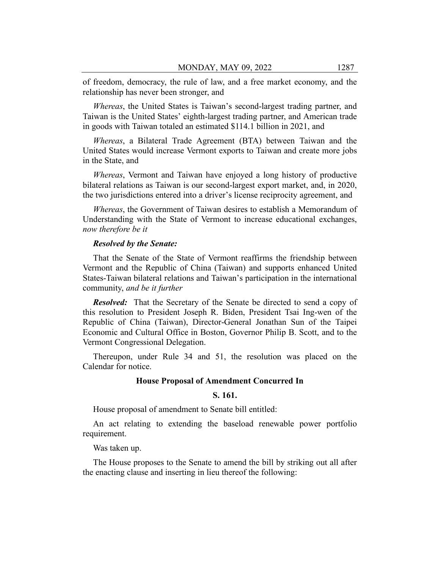of freedom, democracy, the rule of law, and a free market economy, and the relationship has never been stronger, and

*Whereas*, the United States is Taiwan's second-largest trading partner, and Taiwan is the United States' eighth-largest trading partner, and American trade in goods with Taiwan totaled an estimated \$114.1 billion in 2021, and

*Whereas*, a Bilateral Trade Agreement (BTA) between Taiwan and the United States would increase Vermont exports to Taiwan and create more jobs in the State, and

*Whereas*, Vermont and Taiwan have enjoyed a long history of productive bilateral relations as Taiwan is our second-largest export market, and, in 2020, the two jurisdictions entered into a driver's license reciprocity agreement, and

*Whereas*, the Government of Taiwan desires to establish a Memorandum of Understanding with the State of Vermont to increase educational exchanges, *now therefore be it*

#### *Resolved by the Senate:*

That the Senate of the State of Vermont reaffirms the friendship between Vermont and the Republic of China (Taiwan) and supports enhanced United States-Taiwan bilateral relations and Taiwan's participation in the international community, *and be it further*

*Resolved:* That the Secretary of the Senate be directed to send a copy of this resolution to President Joseph R. Biden, President Tsai Ing-wen of the Republic of China (Taiwan), Director-General Jonathan Sun of the Taipei Economic and Cultural Office in Boston, Governor Philip B. Scott, and to the Vermont Congressional Delegation.

Thereupon, under Rule 34 and 51, the resolution was placed on the Calendar for notice.

#### **House Proposal of Amendment Concurred In**

## **S. 161.**

House proposal of amendment to Senate bill entitled:

An act relating to extending the baseload renewable power portfolio requirement.

Was taken up.

The House proposes to the Senate to amend the bill by striking out all after the enacting clause and inserting in lieu thereof the following: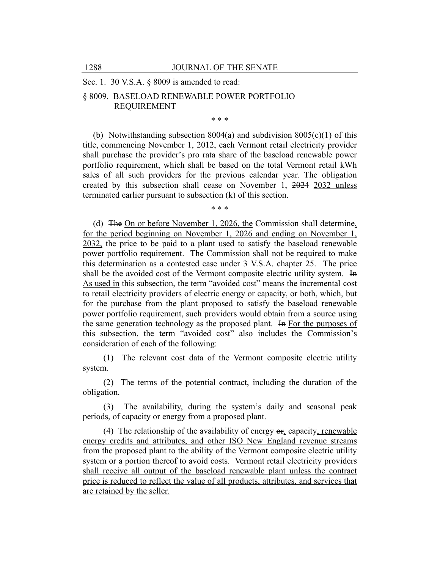## Sec. 1. 30 V.S.A. § 8009 is amended to read:

## § 8009. BASELOAD RENEWABLE POWER PORTFOLIO REQUIREMENT

\* \* \*

(b) Notwithstanding subsection  $8004(a)$  and subdivision  $8005(c)(1)$  of this title, commencing November 1, 2012, each Vermont retail electricity provider shall purchase the provider's pro rata share of the baseload renewable power portfolio requirement, which shall be based on the total Vermont retail kWh sales of all such providers for the previous calendar year. The obligation created by this subsection shall cease on November 1, 2024 2032 unless terminated earlier pursuant to subsection (k) of this section.

\* \* \*

(d) The On or before November 1, 2026, the Commission shall determine, for the period beginning on November 1, 2026 and ending on November 1, 2032, the price to be paid to a plant used to satisfy the baseload renewable power portfolio requirement. The Commission shall not be required to make this determination as a contested case under 3 V.S.A. chapter 25. The price shall be the avoided cost of the Vermont composite electric utility system. In As used in this subsection, the term "avoided cost" means the incremental cost to retail electricity providers of electric energy or capacity, or both, which, but for the purchase from the plant proposed to satisfy the baseload renewable power portfolio requirement, such providers would obtain from a source using the same generation technology as the proposed plant. In For the purposes of this subsection, the term "avoided cost" also includes the Commission's consideration of each of the following:

(1) The relevant cost data of the Vermont composite electric utility system.

(2) The terms of the potential contract, including the duration of the obligation.

(3) The availability, during the system's daily and seasonal peak periods, of capacity or energy from a proposed plant.

(4) The relationship of the availability of energy or, capacity, renewable energy credits and attributes, and other ISO New England revenue streams from the proposed plant to the ability of the Vermont composite electric utility system or a portion thereof to avoid costs. Vermont retail electricity providers shall receive all output of the baseload renewable plant unless the contract price is reduced to reflect the value of all products, attributes, and services that are retained by the seller.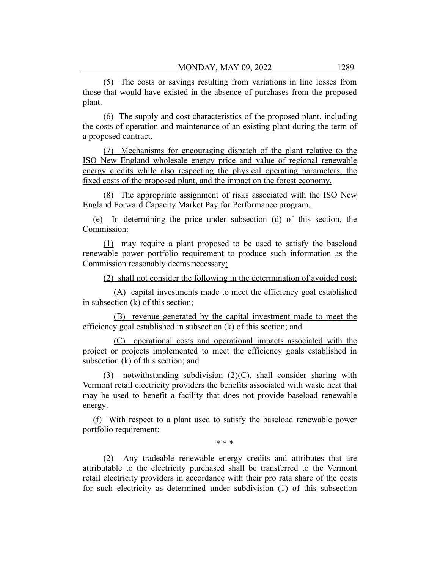(5) The costs or savings resulting from variations in line losses from those that would have existed in the absence of purchases from the proposed plant.

(6) The supply and cost characteristics of the proposed plant, including the costs of operation and maintenance of an existing plant during the term of a proposed contract.

(7) Mechanisms for encouraging dispatch of the plant relative to the ISO New England wholesale energy price and value of regional renewable energy credits while also respecting the physical operating parameters, the fixed costs of the proposed plant, and the impact on the forest economy.

(8) The appropriate assignment of risks associated with the ISO New England Forward Capacity Market Pay for Performance program.

(e) In determining the price under subsection (d) of this section, the Commission:

(1) may require a plant proposed to be used to satisfy the baseload renewable power portfolio requirement to produce such information as the Commission reasonably deems necessary;

(2) shall not consider the following in the determination of avoided cost:

(A) capital investments made to meet the efficiency goal established in subsection (k) of this section;

(B) revenue generated by the capital investment made to meet the efficiency goal established in subsection (k) of this section; and

(C) operational costs and operational impacts associated with the project or projects implemented to meet the efficiency goals established in subsection (k) of this section; and

(3) notwithstanding subdivision (2)(C), shall consider sharing with Vermont retail electricity providers the benefits associated with waste heat that may be used to benefit a facility that does not provide baseload renewable energy.

(f) With respect to a plant used to satisfy the baseload renewable power portfolio requirement:

\* \* \*

(2) Any tradeable renewable energy credits and attributes that are attributable to the electricity purchased shall be transferred to the Vermont retail electricity providers in accordance with their pro rata share of the costs for such electricity as determined under subdivision (1) of this subsection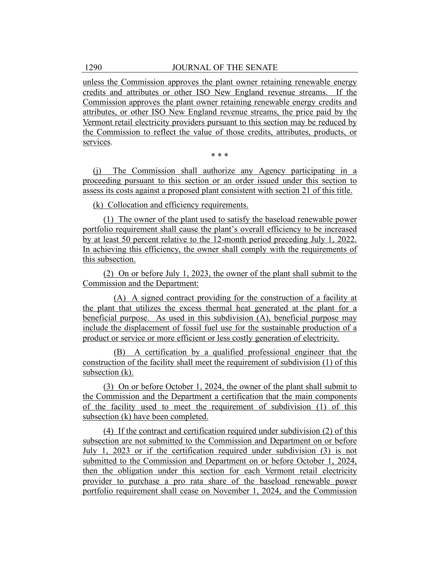unless the Commission approves the plant owner retaining renewable energy credits and attributes or other ISO New England revenue streams. If the Commission approves the plant owner retaining renewable energy credits and attributes, or other ISO New England revenue streams, the price paid by the Vermont retail electricity providers pursuant to this section may be reduced by the Commission to reflect the value of those credits, attributes, products, or services.

\* \* \*

(j) The Commission shall authorize any Agency participating in a proceeding pursuant to this section or an order issued under this section to assess its costs against a proposed plant consistent with section 21 of this title.

(k) Collocation and efficiency requirements.

(1) The owner of the plant used to satisfy the baseload renewable power portfolio requirement shall cause the plant's overall efficiency to be increased by at least 50 percent relative to the 12-month period preceding July 1, 2022. In achieving this efficiency, the owner shall comply with the requirements of this subsection.

(2) On or before July 1, 2023, the owner of the plant shall submit to the Commission and the Department:

(A) A signed contract providing for the construction of a facility at the plant that utilizes the excess thermal heat generated at the plant for a beneficial purpose. As used in this subdivision (A), beneficial purpose may include the displacement of fossil fuel use for the sustainable production of a product or service or more efficient or less costly generation of electricity.

(B) A certification by a qualified professional engineer that the construction of the facility shall meet the requirement of subdivision (1) of this subsection (k).

(3) On or before October 1, 2024, the owner of the plant shall submit to the Commission and the Department a certification that the main components of the facility used to meet the requirement of subdivision (1) of this subsection (k) have been completed.

(4) If the contract and certification required under subdivision (2) of this subsection are not submitted to the Commission and Department on or before July 1, 2023 or if the certification required under subdivision (3) is not submitted to the Commission and Department on or before October 1, 2024, then the obligation under this section for each Vermont retail electricity provider to purchase a pro rata share of the baseload renewable power portfolio requirement shall cease on November 1, 2024, and the Commission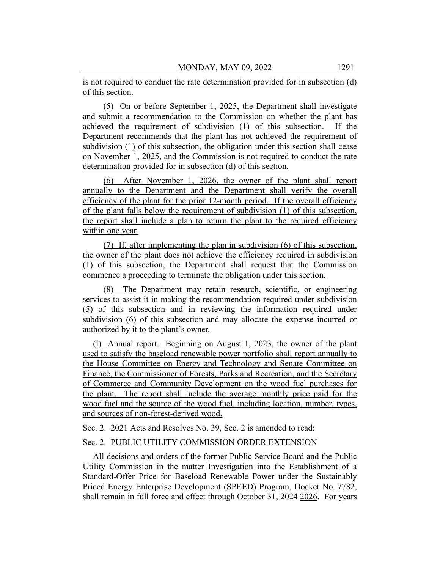is not required to conduct the rate determination provided for in subsection (d) of this section.

(5) On or before September 1, 2025, the Department shall investigate and submit a recommendation to the Commission on whether the plant has achieved the requirement of subdivision (1) of this subsection. If the Department recommends that the plant has not achieved the requirement of subdivision (1) of this subsection, the obligation under this section shall cease on November 1, 2025, and the Commission is not required to conduct the rate determination provided for in subsection (d) of this section.

(6) After November 1, 2026, the owner of the plant shall report annually to the Department and the Department shall verify the overall efficiency of the plant for the prior 12-month period. If the overall efficiency of the plant falls below the requirement of subdivision (1) of this subsection, the report shall include a plan to return the plant to the required efficiency within one year.

(7) If, after implementing the plan in subdivision (6) of this subsection, the owner of the plant does not achieve the efficiency required in subdivision (1) of this subsection, the Department shall request that the Commission commence a proceeding to terminate the obligation under this section.

(8) The Department may retain research, scientific, or engineering services to assist it in making the recommendation required under subdivision (5) of this subsection and in reviewing the information required under subdivision (6) of this subsection and may allocate the expense incurred or authorized by it to the plant's owner.

(l) Annual report. Beginning on August 1, 2023, the owner of the plant used to satisfy the baseload renewable power portfolio shall report annually to the House Committee on Energy and Technology and Senate Committee on Finance, the Commissioner of Forests, Parks and Recreation, and the Secretary of Commerce and Community Development on the wood fuel purchases for the plant. The report shall include the average monthly price paid for the wood fuel and the source of the wood fuel, including location, number, types, and sources of non-forest-derived wood.

Sec. 2. 2021 Acts and Resolves No. 39, Sec. 2 is amended to read:

## Sec. 2. PUBLIC UTILITY COMMISSION ORDER EXTENSION

All decisions and orders of the former Public Service Board and the Public Utility Commission in the matter Investigation into the Establishment of a Standard-Offer Price for Baseload Renewable Power under the Sustainably Priced Energy Enterprise Development (SPEED) Program, Docket No. 7782, shall remain in full force and effect through October 31, 2024 2026. For years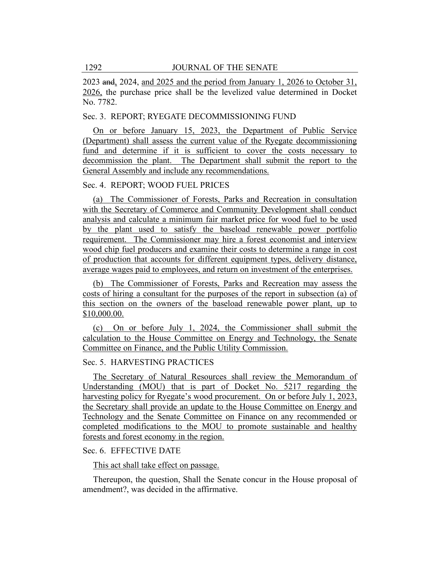2023 and, 2024, and 2025 and the period from January 1, 2026 to October 31, 2026, the purchase price shall be the levelized value determined in Docket No. 7782.

## Sec. 3. REPORT; RYEGATE DECOMMISSIONING FUND

On or before January 15, 2023, the Department of Public Service (Department) shall assess the current value of the Ryegate decommissioning fund and determine if it is sufficient to cover the costs necessary to decommission the plant. The Department shall submit the report to the General Assembly and include any recommendations.

## Sec. 4. REPORT; WOOD FUEL PRICES

(a) The Commissioner of Forests, Parks and Recreation in consultation with the Secretary of Commerce and Community Development shall conduct analysis and calculate a minimum fair market price for wood fuel to be used by the plant used to satisfy the baseload renewable power portfolio requirement. The Commissioner may hire a forest economist and interview wood chip fuel producers and examine their costs to determine a range in cost of production that accounts for different equipment types, delivery distance, average wages paid to employees, and return on investment of the enterprises.

(b) The Commissioner of Forests, Parks and Recreation may assess the costs of hiring a consultant for the purposes of the report in subsection (a) of this section on the owners of the baseload renewable power plant, up to \$10,000.00.

(c) On or before July 1, 2024, the Commissioner shall submit the calculation to the House Committee on Energy and Technology, the Senate Committee on Finance, and the Public Utility Commission.

## Sec. 5. HARVESTING PRACTICES

The Secretary of Natural Resources shall review the Memorandum of Understanding (MOU) that is part of Docket No. 5217 regarding the harvesting policy for Ryegate's wood procurement. On or before July 1, 2023, the Secretary shall provide an update to the House Committee on Energy and Technology and the Senate Committee on Finance on any recommended or completed modifications to the MOU to promote sustainable and healthy forests and forest economy in the region.

## Sec. 6. EFFECTIVE DATE

This act shall take effect on passage.

Thereupon, the question, Shall the Senate concur in the House proposal of amendment?, was decided in the affirmative.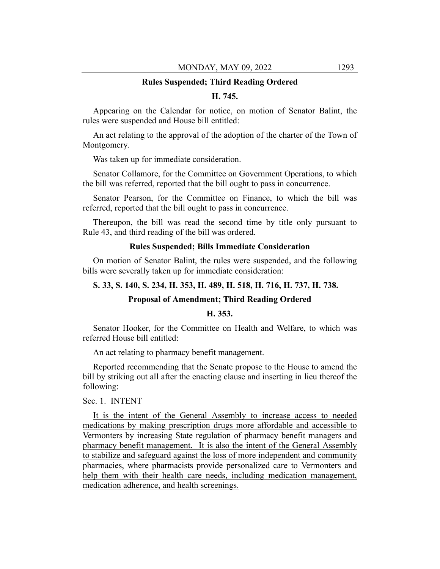#### **Rules Suspended; Third Reading Ordered**

## **H. 745.**

Appearing on the Calendar for notice, on motion of Senator Balint, the rules were suspended and House bill entitled:

An act relating to the approval of the adoption of the charter of the Town of Montgomery.

Was taken up for immediate consideration.

Senator Collamore, for the Committee on Government Operations, to which the bill was referred, reported that the bill ought to pass in concurrence.

Senator Pearson, for the Committee on Finance, to which the bill was referred, reported that the bill ought to pass in concurrence.

Thereupon, the bill was read the second time by title only pursuant to Rule 43, and third reading of the bill was ordered.

#### **Rules Suspended; Bills Immediate Consideration**

On motion of Senator Balint, the rules were suspended, and the following bills were severally taken up for immediate consideration:

## **S. 33, S. 140, S. 234, H. 353, H. 489, H. 518, H. 716, H. 737, H. 738.**

#### **Proposal of Amendment; Third Reading Ordered**

## **H. 353.**

Senator Hooker, for the Committee on Health and Welfare, to which was referred House bill entitled:

An act relating to pharmacy benefit management.

Reported recommending that the Senate propose to the House to amend the bill by striking out all after the enacting clause and inserting in lieu thereof the following:

## Sec. 1. INTENT

It is the intent of the General Assembly to increase access to needed medications by making prescription drugs more affordable and accessible to Vermonters by increasing State regulation of pharmacy benefit managers and pharmacy benefit management. It is also the intent of the General Assembly to stabilize and safeguard against the loss of more independent and community pharmacies, where pharmacists provide personalized care to Vermonters and help them with their health care needs, including medication management, medication adherence, and health screenings.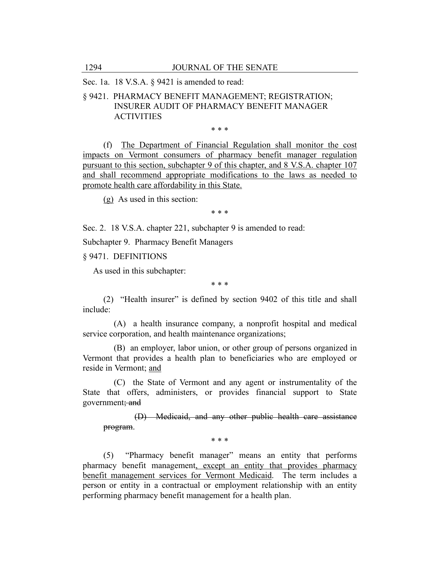Sec. 1a. 18 V.S.A. § 9421 is amended to read:

## § 9421. PHARMACY BENEFIT MANAGEMENT; REGISTRATION; INSURER AUDIT OF PHARMACY BENEFIT MANAGER **ACTIVITIES**

\* \* \*

(f) The Department of Financial Regulation shall monitor the cost impacts on Vermont consumers of pharmacy benefit manager regulation pursuant to this section, subchapter 9 of this chapter, and 8 V.S.A. chapter 107 and shall recommend appropriate modifications to the laws as needed to promote health care affordability in this State.

(g) As used in this section:

\* \* \*

Sec. 2. 18 V.S.A. chapter 221, subchapter 9 is amended to read:

Subchapter 9. Pharmacy Benefit Managers

§ 9471. DEFINITIONS

As used in this subchapter:

\* \* \*

(2) "Health insurer" is defined by section 9402 of this title and shall include:

(A) a health insurance company, a nonprofit hospital and medical service corporation, and health maintenance organizations;

(B) an employer, labor union, or other group of persons organized in Vermont that provides a health plan to beneficiaries who are employed or reside in Vermont; and

(C) the State of Vermont and any agent or instrumentality of the State that offers, administers, or provides financial support to State government; and

(D) Medicaid, and any other public health care assistance program.

\* \* \*

(5) "Pharmacy benefit manager" means an entity that performs pharmacy benefit management, except an entity that provides pharmacy benefit management services for Vermont Medicaid. The term includes a person or entity in a contractual or employment relationship with an entity performing pharmacy benefit management for a health plan.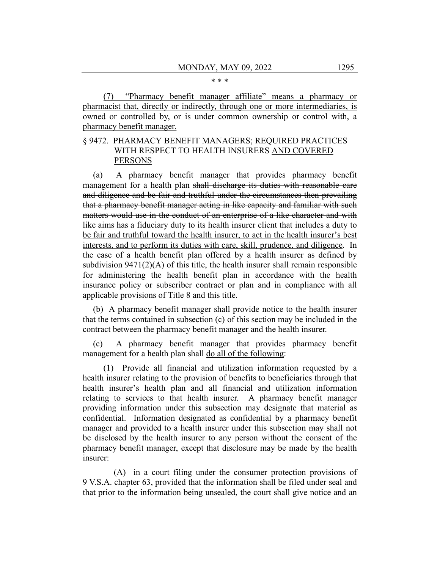#### \* \* \*

(7) "Pharmacy benefit manager affiliate" means a pharmacy or pharmacist that, directly or indirectly, through one or more intermediaries, is owned or controlled by, or is under common ownership or control with, a pharmacy benefit manager.

## § 9472. PHARMACY BENEFIT MANAGERS; REQUIRED PRACTICES WITH RESPECT TO HEALTH INSURERS AND COVERED PERSONS

(a) A pharmacy benefit manager that provides pharmacy benefit management for a health plan shall discharge its duties with reasonable care and diligence and be fair and truthful under the circumstances then prevailing that a pharmacy benefit manager acting in like capacity and familiar with such matters would use in the conduct of an enterprise of a like character and with like aims has a fiduciary duty to its health insurer client that includes a duty to be fair and truthful toward the health insurer, to act in the health insurer's best interests, and to perform its duties with care, skill, prudence, and diligence. In the case of a health benefit plan offered by a health insurer as defined by subdivision 9471(2)(A) of this title, the health insurer shall remain responsible for administering the health benefit plan in accordance with the health insurance policy or subscriber contract or plan and in compliance with all applicable provisions of Title 8 and this title.

(b) A pharmacy benefit manager shall provide notice to the health insurer that the terms contained in subsection (c) of this section may be included in the contract between the pharmacy benefit manager and the health insurer.

(c) A pharmacy benefit manager that provides pharmacy benefit management for a health plan shall do all of the following:

(1) Provide all financial and utilization information requested by a health insurer relating to the provision of benefits to beneficiaries through that health insurer's health plan and all financial and utilization information relating to services to that health insurer. A pharmacy benefit manager providing information under this subsection may designate that material as confidential. Information designated as confidential by a pharmacy benefit manager and provided to a health insurer under this subsection may shall not be disclosed by the health insurer to any person without the consent of the pharmacy benefit manager, except that disclosure may be made by the health insurer:

(A) in a court filing under the consumer protection provisions of 9 V.S.A. chapter 63, provided that the information shall be filed under seal and that prior to the information being unsealed, the court shall give notice and an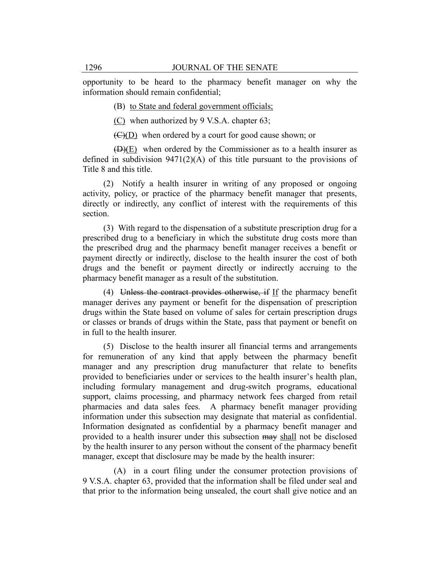opportunity to be heard to the pharmacy benefit manager on why the information should remain confidential;

(B) to State and federal government officials;

(C) when authorized by 9 V.S.A. chapter 63;

 $\left(\frac{C}{D}\right)$  when ordered by a court for good cause shown; or

(D)(E) when ordered by the Commissioner as to a health insurer as defined in subdivision  $9471(2)(A)$  of this title pursuant to the provisions of Title 8 and this title.

(2) Notify a health insurer in writing of any proposed or ongoing activity, policy, or practice of the pharmacy benefit manager that presents, directly or indirectly, any conflict of interest with the requirements of this section.

(3) With regard to the dispensation of a substitute prescription drug for a prescribed drug to a beneficiary in which the substitute drug costs more than the prescribed drug and the pharmacy benefit manager receives a benefit or payment directly or indirectly, disclose to the health insurer the cost of both drugs and the benefit or payment directly or indirectly accruing to the pharmacy benefit manager as a result of the substitution.

(4) Unless the contract provides otherwise, if If the pharmacy benefit manager derives any payment or benefit for the dispensation of prescription drugs within the State based on volume of sales for certain prescription drugs or classes or brands of drugs within the State, pass that payment or benefit on in full to the health insurer.

(5) Disclose to the health insurer all financial terms and arrangements for remuneration of any kind that apply between the pharmacy benefit manager and any prescription drug manufacturer that relate to benefits provided to beneficiaries under or services to the health insurer's health plan, including formulary management and drug-switch programs, educational support, claims processing, and pharmacy network fees charged from retail pharmacies and data sales fees. A pharmacy benefit manager providing information under this subsection may designate that material as confidential. Information designated as confidential by a pharmacy benefit manager and provided to a health insurer under this subsection may shall not be disclosed by the health insurer to any person without the consent of the pharmacy benefit manager, except that disclosure may be made by the health insurer:

(A) in a court filing under the consumer protection provisions of 9 V.S.A. chapter 63, provided that the information shall be filed under seal and that prior to the information being unsealed, the court shall give notice and an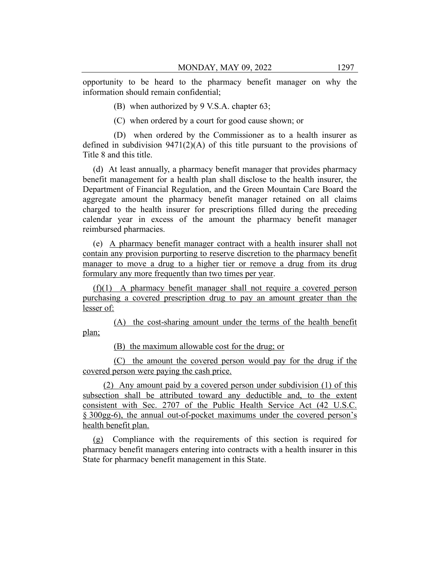opportunity to be heard to the pharmacy benefit manager on why the information should remain confidential;

(B) when authorized by 9 V.S.A. chapter 63;

(C) when ordered by a court for good cause shown; or

(D) when ordered by the Commissioner as to a health insurer as defined in subdivision  $9471(2)(A)$  of this title pursuant to the provisions of Title 8 and this title.

(d) At least annually, a pharmacy benefit manager that provides pharmacy benefit management for a health plan shall disclose to the health insurer, the Department of Financial Regulation, and the Green Mountain Care Board the aggregate amount the pharmacy benefit manager retained on all claims charged to the health insurer for prescriptions filled during the preceding calendar year in excess of the amount the pharmacy benefit manager reimbursed pharmacies.

(e) A pharmacy benefit manager contract with a health insurer shall not contain any provision purporting to reserve discretion to the pharmacy benefit manager to move a drug to a higher tier or remove a drug from its drug formulary any more frequently than two times per year.

(f)(1) A pharmacy benefit manager shall not require a covered person purchasing a covered prescription drug to pay an amount greater than the lesser of:

(A) the cost-sharing amount under the terms of the health benefit plan;

(B) the maximum allowable cost for the drug; or

(C) the amount the covered person would pay for the drug if the covered person were paying the cash price.

(2) Any amount paid by a covered person under subdivision (1) of this subsection shall be attributed toward any deductible and, to the extent consistent with Sec. 2707 of the Public Health Service Act (42 U.S.C. § 300gg-6), the annual out-of-pocket maximums under the covered person's health benefit plan.

(g) Compliance with the requirements of this section is required for pharmacy benefit managers entering into contracts with a health insurer in this State for pharmacy benefit management in this State.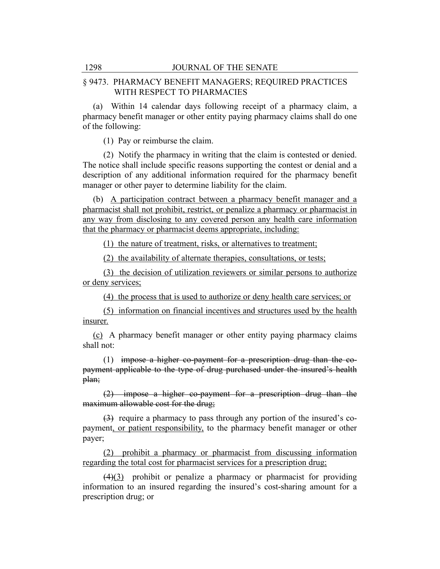## § 9473. PHARMACY BENEFIT MANAGERS; REQUIRED PRACTICES WITH RESPECT TO PHARMACIES

(a) Within 14 calendar days following receipt of a pharmacy claim, a pharmacy benefit manager or other entity paying pharmacy claims shall do one of the following:

(1) Pay or reimburse the claim.

(2) Notify the pharmacy in writing that the claim is contested or denied. The notice shall include specific reasons supporting the contest or denial and a description of any additional information required for the pharmacy benefit manager or other payer to determine liability for the claim.

(b) A participation contract between a pharmacy benefit manager and a pharmacist shall not prohibit, restrict, or penalize a pharmacy or pharmacist in any way from disclosing to any covered person any health care information that the pharmacy or pharmacist deems appropriate, including:

(1) the nature of treatment, risks, or alternatives to treatment;

(2) the availability of alternate therapies, consultations, or tests;

(3) the decision of utilization reviewers or similar persons to authorize or deny services;

(4) the process that is used to authorize or deny health care services; or

(5) information on financial incentives and structures used by the health insurer.

(c) A pharmacy benefit manager or other entity paying pharmacy claims shall not:

(1) impose a higher co-payment for a prescription drug than the copayment applicable to the type of drug purchased under the insured's health plan;

(2) impose a higher co-payment for a prescription drug than the maximum allowable cost for the drug;

(3) require a pharmacy to pass through any portion of the insured's copayment, or patient responsibility, to the pharmacy benefit manager or other payer;

(2) prohibit a pharmacy or pharmacist from discussing information regarding the total cost for pharmacist services for a prescription drug;

 $(4)(3)$  prohibit or penalize a pharmacy or pharmacist for providing information to an insured regarding the insured's cost-sharing amount for a prescription drug; or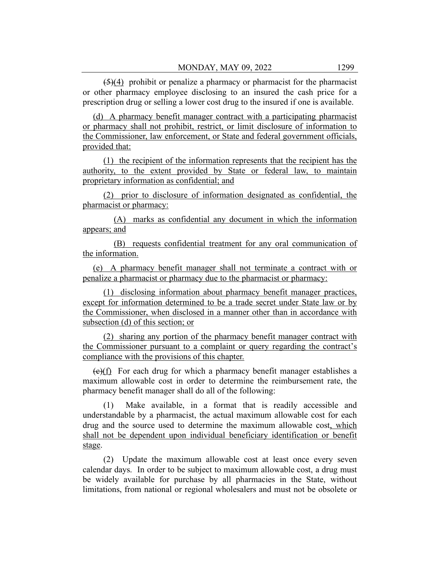$(5)(4)$  prohibit or penalize a pharmacy or pharmacist for the pharmacist or other pharmacy employee disclosing to an insured the cash price for a prescription drug or selling a lower cost drug to the insured if one is available.

(d) A pharmacy benefit manager contract with a participating pharmacist or pharmacy shall not prohibit, restrict, or limit disclosure of information to the Commissioner, law enforcement, or State and federal government officials, provided that:

(1) the recipient of the information represents that the recipient has the authority, to the extent provided by State or federal law, to maintain proprietary information as confidential; and

(2) prior to disclosure of information designated as confidential, the pharmacist or pharmacy:

(A) marks as confidential any document in which the information appears; and

(B) requests confidential treatment for any oral communication of the information.

(e) A pharmacy benefit manager shall not terminate a contract with or penalize a pharmacist or pharmacy due to the pharmacist or pharmacy:

(1) disclosing information about pharmacy benefit manager practices, except for information determined to be a trade secret under State law or by the Commissioner, when disclosed in a manner other than in accordance with subsection (d) of this section; or

(2) sharing any portion of the pharmacy benefit manager contract with the Commissioner pursuant to a complaint or query regarding the contract's compliance with the provisions of this chapter.

 $(e)(f)$  For each drug for which a pharmacy benefit manager establishes a maximum allowable cost in order to determine the reimbursement rate, the pharmacy benefit manager shall do all of the following:

(1) Make available, in a format that is readily accessible and understandable by a pharmacist, the actual maximum allowable cost for each drug and the source used to determine the maximum allowable cost, which shall not be dependent upon individual beneficiary identification or benefit stage.

(2) Update the maximum allowable cost at least once every seven calendar days. In order to be subject to maximum allowable cost, a drug must be widely available for purchase by all pharmacies in the State, without limitations, from national or regional wholesalers and must not be obsolete or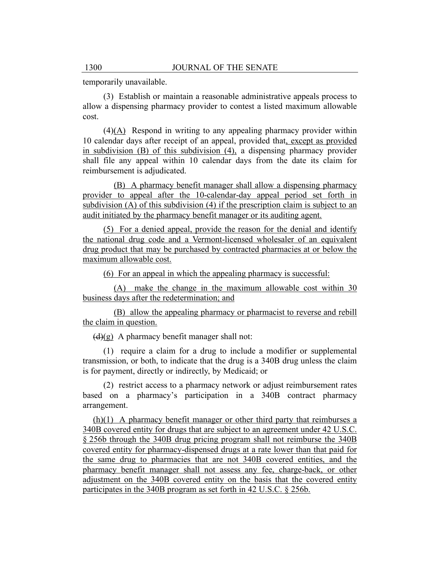temporarily unavailable.

(3) Establish or maintain a reasonable administrative appeals process to allow a dispensing pharmacy provider to contest a listed maximum allowable cost.

(4)(A) Respond in writing to any appealing pharmacy provider within 10 calendar days after receipt of an appeal, provided that, except as provided in subdivision (B) of this subdivision (4), a dispensing pharmacy provider shall file any appeal within 10 calendar days from the date its claim for reimbursement is adjudicated.

(B) A pharmacy benefit manager shall allow a dispensing pharmacy provider to appeal after the 10-calendar-day appeal period set forth in subdivision (A) of this subdivision (4) if the prescription claim is subject to an audit initiated by the pharmacy benefit manager or its auditing agent.

(5) For a denied appeal, provide the reason for the denial and identify the national drug code and a Vermont-licensed wholesaler of an equivalent drug product that may be purchased by contracted pharmacies at or below the maximum allowable cost.

(6) For an appeal in which the appealing pharmacy is successful:

(A) make the change in the maximum allowable cost within 30 business days after the redetermination; and

(B) allow the appealing pharmacy or pharmacist to reverse and rebill the claim in question.

 $(d)(g)$  A pharmacy benefit manager shall not:

(1) require a claim for a drug to include a modifier or supplemental transmission, or both, to indicate that the drug is a 340B drug unless the claim is for payment, directly or indirectly, by Medicaid; or

(2) restrict access to a pharmacy network or adjust reimbursement rates based on a pharmacy's participation in a 340B contract pharmacy arrangement.

(h)(1) A pharmacy benefit manager or other third party that reimburses a 340B covered entity for drugs that are subject to an agreement under 42 U.S.C. § 256b through the 340B drug pricing program shall not reimburse the 340B covered entity for pharmacy-dispensed drugs at a rate lower than that paid for the same drug to pharmacies that are not 340B covered entities, and the pharmacy benefit manager shall not assess any fee, charge-back, or other adjustment on the 340B covered entity on the basis that the covered entity participates in the 340B program as set forth in 42 U.S.C. § 256b.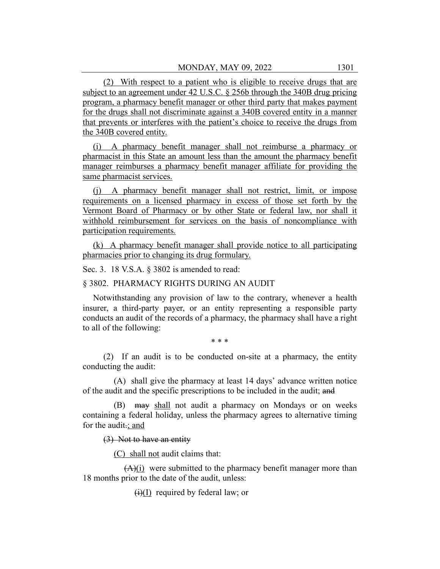(2) With respect to a patient who is eligible to receive drugs that are subject to an agreement under 42 U.S.C. § 256b through the 340B drug pricing program, a pharmacy benefit manager or other third party that makes payment for the drugs shall not discriminate against a 340B covered entity in a manner that prevents or interferes with the patient's choice to receive the drugs from the 340B covered entity.

(i) A pharmacy benefit manager shall not reimburse a pharmacy or pharmacist in this State an amount less than the amount the pharmacy benefit manager reimburses a pharmacy benefit manager affiliate for providing the same pharmacist services.

(j) A pharmacy benefit manager shall not restrict, limit, or impose requirements on a licensed pharmacy in excess of those set forth by the Vermont Board of Pharmacy or by other State or federal law, nor shall it withhold reimbursement for services on the basis of noncompliance with participation requirements.

(k) A pharmacy benefit manager shall provide notice to all participating pharmacies prior to changing its drug formulary.

Sec. 3. 18 V.S.A. § 3802 is amended to read:

## § 3802. PHARMACY RIGHTS DURING AN AUDIT

Notwithstanding any provision of law to the contrary, whenever a health insurer, a third-party payer, or an entity representing a responsible party conducts an audit of the records of a pharmacy, the pharmacy shall have a right to all of the following:

\* \* \*

(2) If an audit is to be conducted on-site at a pharmacy, the entity conducting the audit:

(A) shall give the pharmacy at least 14 days' advance written notice of the audit and the specific prescriptions to be included in the audit; and

(B) may shall not audit a pharmacy on Mondays or on weeks containing a federal holiday, unless the pharmacy agrees to alternative timing for the audit.; and

### (3) Not to have an entity

(C) shall not audit claims that:

 $(A)(i)$  were submitted to the pharmacy benefit manager more than 18 months prior to the date of the audit, unless:

 $(i)(I)$  required by federal law; or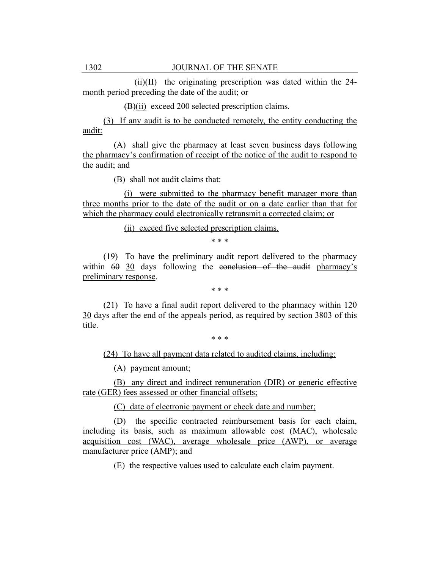$(ii)(II)$  the originating prescription was dated within the 24month period preceding the date of the audit; or

(B)(ii) exceed 200 selected prescription claims.

(3) If any audit is to be conducted remotely, the entity conducting the audit:

(A) shall give the pharmacy at least seven business days following the pharmacy's confirmation of receipt of the notice of the audit to respond to the audit; and

(B) shall not audit claims that:

(i) were submitted to the pharmacy benefit manager more than three months prior to the date of the audit or on a date earlier than that for which the pharmacy could electronically retransmit a corrected claim; or

(ii) exceed five selected prescription claims.

\* \* \*

(19) To have the preliminary audit report delivered to the pharmacy within  $60$  30 days following the conclusion of the audit pharmacy's preliminary response.

\* \* \*

(21) To have a final audit report delivered to the pharmacy within  $\frac{120}{2}$ 30 days after the end of the appeals period, as required by section 3803 of this title.

\* \* \*

(24) To have all payment data related to audited claims, including:

(A) payment amount;

(B) any direct and indirect remuneration (DIR) or generic effective rate (GER) fees assessed or other financial offsets;

(C) date of electronic payment or check date and number;

(D) the specific contracted reimbursement basis for each claim, including its basis, such as maximum allowable cost (MAC), wholesale acquisition cost (WAC), average wholesale price (AWP), or average manufacturer price (AMP); and

(E) the respective values used to calculate each claim payment.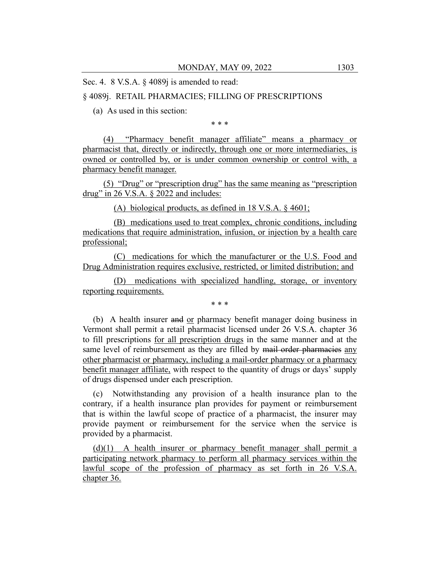Sec. 4. 8 V.S.A. § 4089*j* is amended to read:

## § 4089j. RETAIL PHARMACIES; FILLING OF PRESCRIPTIONS

(a) As used in this section:

\* \* \*

(4) "Pharmacy benefit manager affiliate" means a pharmacy or pharmacist that, directly or indirectly, through one or more intermediaries, is owned or controlled by, or is under common ownership or control with, a pharmacy benefit manager.

(5) "Drug" or "prescription drug" has the same meaning as "prescription drug" in 26 V.S.A. § 2022 and includes:

(A) biological products, as defined in 18 V.S.A. § 4601;

(B) medications used to treat complex, chronic conditions, including medications that require administration, infusion, or injection by a health care professional;

(C) medications for which the manufacturer or the U.S. Food and Drug Administration requires exclusive, restricted, or limited distribution; and

(D) medications with specialized handling, storage, or inventory reporting requirements.

\* \* \*

(b) A health insurer and or pharmacy benefit manager doing business in Vermont shall permit a retail pharmacist licensed under 26 V.S.A. chapter 36 to fill prescriptions for all prescription drugs in the same manner and at the same level of reimbursement as they are filled by mail order pharmacies any other pharmacist or pharmacy, including a mail-order pharmacy or a pharmacy benefit manager affiliate, with respect to the quantity of drugs or days' supply of drugs dispensed under each prescription.

(c) Notwithstanding any provision of a health insurance plan to the contrary, if a health insurance plan provides for payment or reimbursement that is within the lawful scope of practice of a pharmacist, the insurer may provide payment or reimbursement for the service when the service is provided by a pharmacist.

(d)(1) A health insurer or pharmacy benefit manager shall permit a participating network pharmacy to perform all pharmacy services within the lawful scope of the profession of pharmacy as set forth in 26 V.S.A. chapter 36.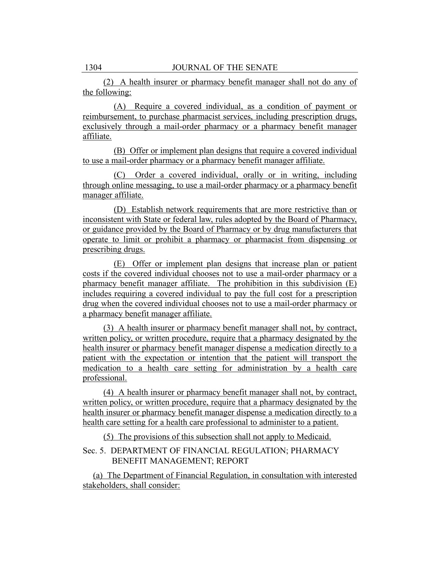(2) A health insurer or pharmacy benefit manager shall not do any of the following:

(A) Require a covered individual, as a condition of payment or reimbursement, to purchase pharmacist services, including prescription drugs, exclusively through a mail-order pharmacy or a pharmacy benefit manager affiliate.

(B) Offer or implement plan designs that require a covered individual to use a mail-order pharmacy or a pharmacy benefit manager affiliate.

(C) Order a covered individual, orally or in writing, including through online messaging, to use a mail-order pharmacy or a pharmacy benefit manager affiliate.

(D) Establish network requirements that are more restrictive than or inconsistent with State or federal law, rules adopted by the Board of Pharmacy, or guidance provided by the Board of Pharmacy or by drug manufacturers that operate to limit or prohibit a pharmacy or pharmacist from dispensing or prescribing drugs.

(E) Offer or implement plan designs that increase plan or patient costs if the covered individual chooses not to use a mail-order pharmacy or a pharmacy benefit manager affiliate. The prohibition in this subdivision (E) includes requiring a covered individual to pay the full cost for a prescription drug when the covered individual chooses not to use a mail-order pharmacy or a pharmacy benefit manager affiliate.

(3) A health insurer or pharmacy benefit manager shall not, by contract, written policy, or written procedure, require that a pharmacy designated by the health insurer or pharmacy benefit manager dispense a medication directly to a patient with the expectation or intention that the patient will transport the medication to a health care setting for administration by a health care professional.

(4) A health insurer or pharmacy benefit manager shall not, by contract, written policy, or written procedure, require that a pharmacy designated by the health insurer or pharmacy benefit manager dispense a medication directly to a health care setting for a health care professional to administer to a patient.

(5) The provisions of this subsection shall not apply to Medicaid.

## Sec. 5. DEPARTMENT OF FINANCIAL REGULATION; PHARMACY BENEFIT MANAGEMENT; REPORT

(a) The Department of Financial Regulation, in consultation with interested stakeholders, shall consider: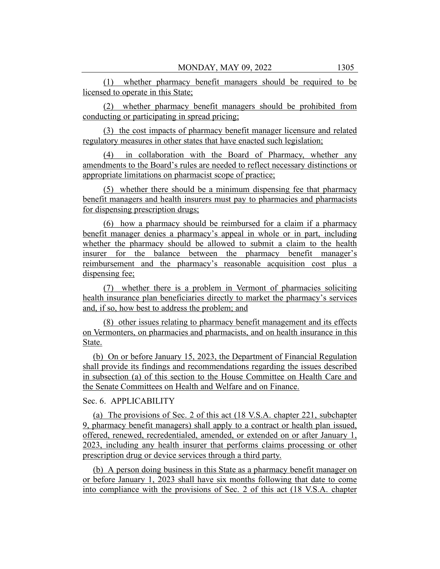(1) whether pharmacy benefit managers should be required to be licensed to operate in this State;

(2) whether pharmacy benefit managers should be prohibited from conducting or participating in spread pricing;

(3) the cost impacts of pharmacy benefit manager licensure and related regulatory measures in other states that have enacted such legislation;

(4) in collaboration with the Board of Pharmacy, whether any amendments to the Board's rules are needed to reflect necessary distinctions or appropriate limitations on pharmacist scope of practice;

(5) whether there should be a minimum dispensing fee that pharmacy benefit managers and health insurers must pay to pharmacies and pharmacists for dispensing prescription drugs;

(6) how a pharmacy should be reimbursed for a claim if a pharmacy benefit manager denies a pharmacy's appeal in whole or in part, including whether the pharmacy should be allowed to submit a claim to the health insurer for the balance between the pharmacy benefit manager's reimbursement and the pharmacy's reasonable acquisition cost plus a dispensing fee;

(7) whether there is a problem in Vermont of pharmacies soliciting health insurance plan beneficiaries directly to market the pharmacy's services and, if so, how best to address the problem; and

(8) other issues relating to pharmacy benefit management and its effects on Vermonters, on pharmacies and pharmacists, and on health insurance in this State.

(b) On or before January 15, 2023, the Department of Financial Regulation shall provide its findings and recommendations regarding the issues described in subsection (a) of this section to the House Committee on Health Care and the Senate Committees on Health and Welfare and on Finance.

Sec. 6. APPLICABILITY

(a) The provisions of Sec. 2 of this act (18 V.S.A. chapter 221, subchapter 9, pharmacy benefit managers) shall apply to a contract or health plan issued, offered, renewed, recredentialed, amended, or extended on or after January 1, 2023, including any health insurer that performs claims processing or other prescription drug or device services through a third party.

(b) A person doing business in this State as a pharmacy benefit manager on or before January 1, 2023 shall have six months following that date to come into compliance with the provisions of Sec. 2 of this act (18 V.S.A. chapter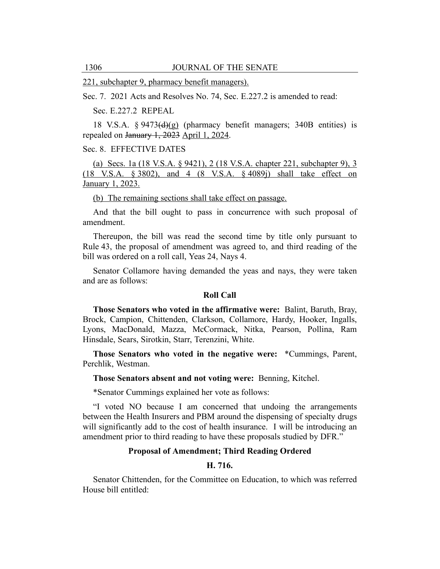221, subchapter 9, pharmacy benefit managers).

Sec. 7. 2021 Acts and Resolves No. 74, Sec. E.227.2 is amended to read:

Sec. E.227.2 REPEAL

18 V.S.A.  $\S 9473(d)(g)$  (pharmacy benefit managers; 340B entities) is repealed on January 1, 2023 April 1, 2024.

Sec. 8. EFFECTIVE DATES

(a) Secs. 1a (18 V.S.A. § 9421), 2 (18 V.S.A. chapter 221, subchapter 9), 3 (18 V.S.A. § 3802), and 4 (8 V.S.A. § 4089j) shall take effect on January 1, 2023.

(b) The remaining sections shall take effect on passage.

And that the bill ought to pass in concurrence with such proposal of amendment.

Thereupon, the bill was read the second time by title only pursuant to Rule 43, the proposal of amendment was agreed to, and third reading of the bill was ordered on a roll call, Yeas 24, Nays 4.

Senator Collamore having demanded the yeas and nays, they were taken and are as follows:

#### **Roll Call**

**Those Senators who voted in the affirmative were:** Balint, Baruth, Bray, Brock, Campion, Chittenden, Clarkson, Collamore, Hardy, Hooker, Ingalls, Lyons, MacDonald, Mazza, McCormack, Nitka, Pearson, Pollina, Ram Hinsdale, Sears, Sirotkin, Starr, Terenzini, White.

**Those Senators who voted in the negative were:** \*Cummings, Parent, Perchlik, Westman.

**Those Senators absent and not voting were:** Benning, Kitchel.

\*Senator Cummings explained her vote as follows:

"I voted NO because I am concerned that undoing the arrangements between the Health Insurers and PBM around the dispensing of specialty drugs will significantly add to the cost of health insurance. I will be introducing an amendment prior to third reading to have these proposals studied by DFR."

## **Proposal of Amendment; Third Reading Ordered**

#### **H. 716.**

Senator Chittenden, for the Committee on Education, to which was referred House bill entitled: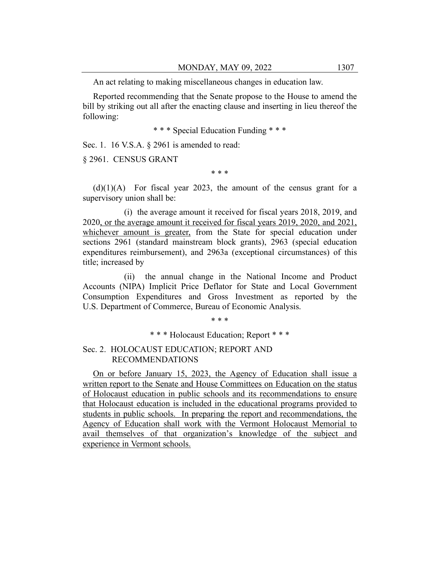An act relating to making miscellaneous changes in education law.

Reported recommending that the Senate propose to the House to amend the bill by striking out all after the enacting clause and inserting in lieu thereof the following:

\* \* \* Special Education Funding \* \* \*

Sec. 1. 16 V.S.A. § 2961 is amended to read:

§ 2961. CENSUS GRANT

\* \* \*

 $(d)(1)(A)$  For fiscal year 2023, the amount of the census grant for a supervisory union shall be:

(i) the average amount it received for fiscal years 2018, 2019, and 2020, or the average amount it received for fiscal years 2019, 2020, and 2021, whichever amount is greater, from the State for special education under sections 2961 (standard mainstream block grants), 2963 (special education expenditures reimbursement), and 2963a (exceptional circumstances) of this title; increased by

(ii) the annual change in the National Income and Product Accounts (NIPA) Implicit Price Deflator for State and Local Government Consumption Expenditures and Gross Investment as reported by the U.S. Department of Commerce, Bureau of Economic Analysis.

\* \* \*

\* \* \* Holocaust Education; Report \* \* \*

Sec. 2. HOLOCAUST EDUCATION; REPORT AND RECOMMENDATIONS

On or before January 15, 2023, the Agency of Education shall issue a written report to the Senate and House Committees on Education on the status of Holocaust education in public schools and its recommendations to ensure that Holocaust education is included in the educational programs provided to students in public schools. In preparing the report and recommendations, the Agency of Education shall work with the Vermont Holocaust Memorial to avail themselves of that organization's knowledge of the subject and experience in Vermont schools.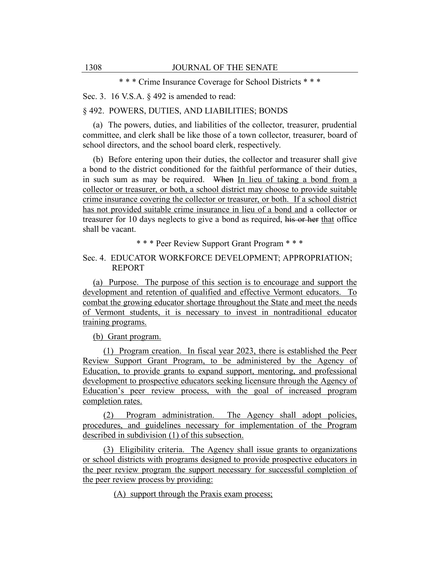\* \* \* Crime Insurance Coverage for School Districts \* \* \*

Sec. 3. 16 V.S.A. § 492 is amended to read:

§ 492. POWERS, DUTIES, AND LIABILITIES; BONDS

(a) The powers, duties, and liabilities of the collector, treasurer, prudential committee, and clerk shall be like those of a town collector, treasurer, board of school directors, and the school board clerk, respectively.

(b) Before entering upon their duties, the collector and treasurer shall give a bond to the district conditioned for the faithful performance of their duties, in such sum as may be required. When In lieu of taking a bond from a collector or treasurer, or both, a school district may choose to provide suitable crime insurance covering the collector or treasurer, or both. If a school district has not provided suitable crime insurance in lieu of a bond and a collector or treasurer for 10 days neglects to give a bond as required, his or her that office shall be vacant.

\* \* \* Peer Review Support Grant Program \* \* \*

## Sec. 4. EDUCATOR WORKFORCE DEVELOPMENT; APPROPRIATION; REPORT

(a) Purpose. The purpose of this section is to encourage and support the development and retention of qualified and effective Vermont educators. To combat the growing educator shortage throughout the State and meet the needs of Vermont students, it is necessary to invest in nontraditional educator training programs.

(b) Grant program.

(1) Program creation. In fiscal year 2023, there is established the Peer Review Support Grant Program, to be administered by the Agency of Education, to provide grants to expand support, mentoring, and professional development to prospective educators seeking licensure through the Agency of Education's peer review process, with the goal of increased program completion rates.

(2) Program administration. The Agency shall adopt policies, procedures, and guidelines necessary for implementation of the Program described in subdivision (1) of this subsection.

(3) Eligibility criteria. The Agency shall issue grants to organizations or school districts with programs designed to provide prospective educators in the peer review program the support necessary for successful completion of the peer review process by providing:

(A) support through the Praxis exam process;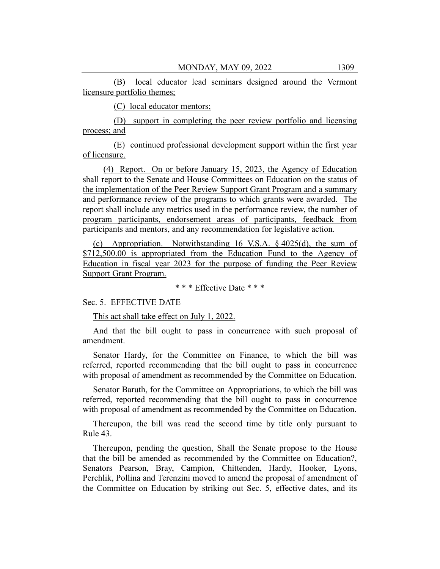(B) local educator lead seminars designed around the Vermont licensure portfolio themes;

(C) local educator mentors;

(D) support in completing the peer review portfolio and licensing process; and

(E) continued professional development support within the first year of licensure.

(4) Report. On or before January 15, 2023, the Agency of Education shall report to the Senate and House Committees on Education on the status of the implementation of the Peer Review Support Grant Program and a summary and performance review of the programs to which grants were awarded. The report shall include any metrics used in the performance review, the number of program participants, endorsement areas of participants, feedback from participants and mentors, and any recommendation for legislative action.

(c) Appropriation. Notwithstanding 16 V.S.A. § 4025(d), the sum of \$712,500.00 is appropriated from the Education Fund to the Agency of Education in fiscal year 2023 for the purpose of funding the Peer Review Support Grant Program.

\* \* \* Effective Date \* \* \*

Sec. 5. EFFECTIVE DATE

This act shall take effect on July 1, 2022.

And that the bill ought to pass in concurrence with such proposal of amendment.

Senator Hardy, for the Committee on Finance, to which the bill was referred, reported recommending that the bill ought to pass in concurrence with proposal of amendment as recommended by the Committee on Education.

Senator Baruth, for the Committee on Appropriations, to which the bill was referred, reported recommending that the bill ought to pass in concurrence with proposal of amendment as recommended by the Committee on Education.

Thereupon, the bill was read the second time by title only pursuant to Rule 43.

Thereupon, pending the question, Shall the Senate propose to the House that the bill be amended as recommended by the Committee on Education?, Senators Pearson, Bray, Campion, Chittenden, Hardy, Hooker, Lyons, Perchlik, Pollina and Terenzini moved to amend the proposal of amendment of the Committee on Education by striking out Sec. 5, effective dates, and its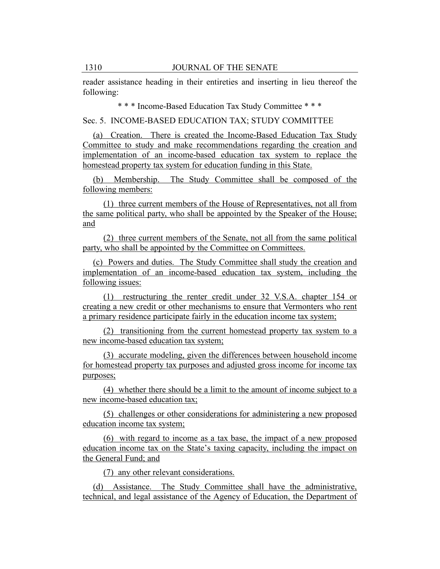reader assistance heading in their entireties and inserting in lieu thereof the following:

\* \* \* Income-Based Education Tax Study Committee \* \* \*

Sec. 5. INCOME-BASED EDUCATION TAX; STUDY COMMITTEE

(a) Creation. There is created the Income-Based Education Tax Study Committee to study and make recommendations regarding the creation and implementation of an income-based education tax system to replace the homestead property tax system for education funding in this State.

(b) Membership. The Study Committee shall be composed of the following members:

(1) three current members of the House of Representatives, not all from the same political party, who shall be appointed by the Speaker of the House; and

(2) three current members of the Senate, not all from the same political party, who shall be appointed by the Committee on Committees.

(c) Powers and duties. The Study Committee shall study the creation and implementation of an income-based education tax system, including the following issues:

(1) restructuring the renter credit under 32 V.S.A. chapter 154 or creating a new credit or other mechanisms to ensure that Vermonters who rent a primary residence participate fairly in the education income tax system;

(2) transitioning from the current homestead property tax system to a new income-based education tax system;

(3) accurate modeling, given the differences between household income for homestead property tax purposes and adjusted gross income for income tax purposes;

(4) whether there should be a limit to the amount of income subject to a new income-based education tax;

(5) challenges or other considerations for administering a new proposed education income tax system;

(6) with regard to income as a tax base, the impact of a new proposed education income tax on the State's taxing capacity, including the impact on the General Fund; and

(7) any other relevant considerations.

(d) Assistance. The Study Committee shall have the administrative, technical, and legal assistance of the Agency of Education, the Department of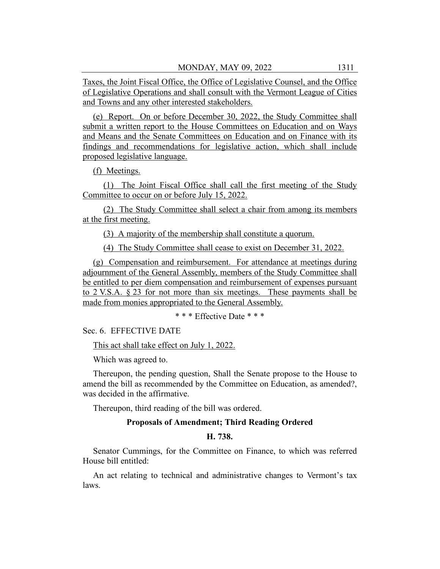Taxes, the Joint Fiscal Office, the Office of Legislative Counsel, and the Office of Legislative Operations and shall consult with the Vermont League of Cities and Towns and any other interested stakeholders.

(e) Report. On or before December 30, 2022, the Study Committee shall submit a written report to the House Committees on Education and on Ways and Means and the Senate Committees on Education and on Finance with its findings and recommendations for legislative action, which shall include proposed legislative language.

(f) Meetings.

(1) The Joint Fiscal Office shall call the first meeting of the Study Committee to occur on or before July 15, 2022.

(2) The Study Committee shall select a chair from among its members at the first meeting.

(3) A majority of the membership shall constitute a quorum.

(4) The Study Committee shall cease to exist on December 31, 2022.

(g) Compensation and reimbursement. For attendance at meetings during adjournment of the General Assembly, members of the Study Committee shall be entitled to per diem compensation and reimbursement of expenses pursuant to 2 V.S.A. § 23 for not more than six meetings. These payments shall be made from monies appropriated to the General Assembly.

\* \* \* Effective Date \* \* \*

Sec. 6. EFFECTIVE DATE

This act shall take effect on July 1, 2022.

Which was agreed to.

Thereupon, the pending question, Shall the Senate propose to the House to amend the bill as recommended by the Committee on Education, as amended?, was decided in the affirmative.

Thereupon, third reading of the bill was ordered.

### **Proposals of Amendment; Third Reading Ordered**

## **H. 738.**

Senator Cummings, for the Committee on Finance, to which was referred House bill entitled:

An act relating to technical and administrative changes to Vermont's tax laws.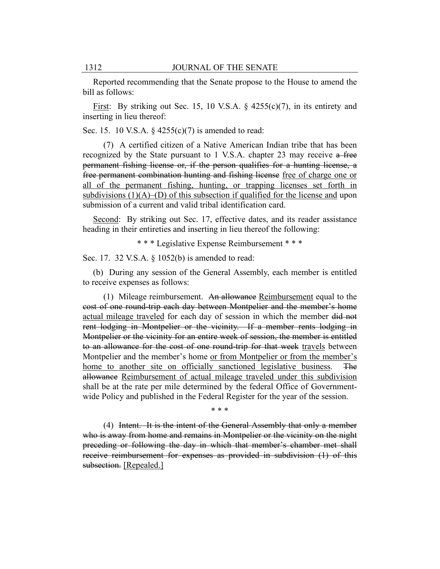Reported recommending that the Senate propose to the House to amend the bill as follows:

First: By striking out Sec. 15, 10 V.S.A.  $\S$  4255(c)(7), in its entirety and inserting in lieu thereof:

Sec. 15. 10 V.S.A.  $\S$  4255(c)(7) is amended to read:

(7) A certified citizen of a Native American Indian tribe that has been recognized by the State pursuant to 1 V.S.A. chapter 23 may receive a free permanent fishing license or, if the person qualifies for a hunting license, a free permanent combination hunting and fishing license free of charge one or all of the permanent fishing, hunting, or trapping licenses set forth in subdivisions  $(1)(A)$ –(D) of this subsection if qualified for the license and upon submission of a current and valid tribal identification card.

Second: By striking out Sec. 17, effective dates, and its reader assistance heading in their entireties and inserting in lieu thereof the following:

\* \* \* Legislative Expense Reimbursement \* \* \*

Sec. 17. 32 V.S.A. § 1052(b) is amended to read:

(b) During any session of the General Assembly, each member is entitled to receive expenses as follows:

(1) Mileage reimbursement. An allowance Reimbursement equal to the cost of one round-trip each day between Montpelier and the member's home actual mileage traveled for each day of session in which the member did not rent lodging in Montpelier or the vicinity. If a member rents lodging in Montpelier or the vicinity for an entire week of session, the member is entitled to an allowance for the cost of one round-trip for that week travels between Montpelier and the member's home or from Montpelier or from the member's home to another site on officially sanctioned legislative business. The allowance Reimbursement of actual mileage traveled under this subdivision shall be at the rate per mile determined by the federal Office of Governmentwide Policy and published in the Federal Register for the year of the session.

\* \* \*

(4) Intent. It is the intent of the General Assembly that only a member who is away from home and remains in Montpelier or the vicinity on the night preceding or following the day in which that member's chamber met shall receive reimbursement for expenses as provided in subdivision (1) of this subsection. [Repealed.]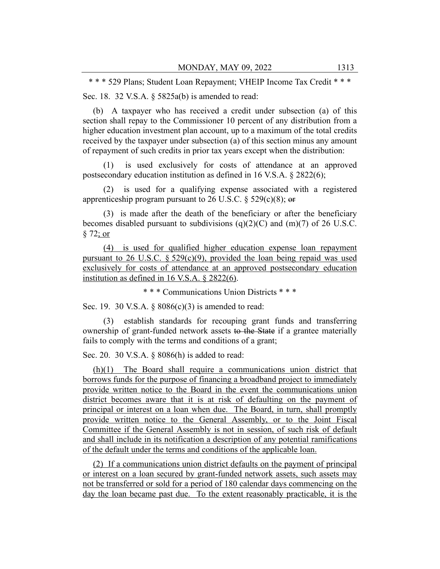\* \* \* 529 Plans; Student Loan Repayment; VHEIP Income Tax Credit \* \* \*

Sec. 18. 32 V.S.A. § 5825a(b) is amended to read:

(b) A taxpayer who has received a credit under subsection (a) of this section shall repay to the Commissioner 10 percent of any distribution from a higher education investment plan account, up to a maximum of the total credits received by the taxpayer under subsection (a) of this section minus any amount of repayment of such credits in prior tax years except when the distribution:

(1) is used exclusively for costs of attendance at an approved postsecondary education institution as defined in 16 V.S.A. § 2822(6);

(2) is used for a qualifying expense associated with a registered apprenticeship program pursuant to 26 U.S.C.  $\S$  529(c)(8); or

(3) is made after the death of the beneficiary or after the beneficiary becomes disabled pursuant to subdivisions  $(q)(2)(C)$  and  $(m)(7)$  of 26 U.S.C. § 72; or

(4) is used for qualified higher education expense loan repayment pursuant to 26 U.S.C.  $\S 529(c)(9)$ , provided the loan being repaid was used exclusively for costs of attendance at an approved postsecondary education institution as defined in 16 V.S.A. § 2822(6).

\* \* \* Communications Union Districts \* \* \*

Sec. 19. 30 V.S.A. § 8086(c)(3) is amended to read:

(3) establish standards for recouping grant funds and transferring ownership of grant-funded network assets to the State if a grantee materially fails to comply with the terms and conditions of a grant;

Sec. 20. 30 V.S.A. § 8086(h) is added to read:

(h)(1) The Board shall require a communications union district that borrows funds for the purpose of financing a broadband project to immediately provide written notice to the Board in the event the communications union district becomes aware that it is at risk of defaulting on the payment of principal or interest on a loan when due. The Board, in turn, shall promptly provide written notice to the General Assembly, or to the Joint Fiscal Committee if the General Assembly is not in session, of such risk of default and shall include in its notification a description of any potential ramifications of the default under the terms and conditions of the applicable loan.

(2) If a communications union district defaults on the payment of principal or interest on a loan secured by grant-funded network assets, such assets may not be transferred or sold for a period of 180 calendar days commencing on the day the loan became past due. To the extent reasonably practicable, it is the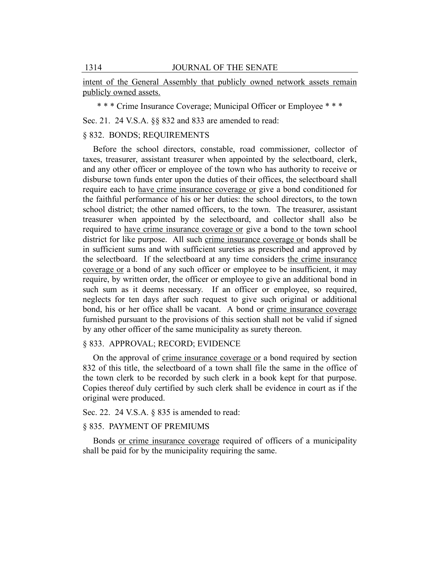intent of the General Assembly that publicly owned network assets remain publicly owned assets.

\* \* \* Crime Insurance Coverage; Municipal Officer or Employee \* \* \*

Sec. 21. 24 V.S.A. §§ 832 and 833 are amended to read:

## § 832. BONDS; REQUIREMENTS

Before the school directors, constable, road commissioner, collector of taxes, treasurer, assistant treasurer when appointed by the selectboard, clerk, and any other officer or employee of the town who has authority to receive or disburse town funds enter upon the duties of their offices, the selectboard shall require each to have crime insurance coverage or give a bond conditioned for the faithful performance of his or her duties: the school directors, to the town school district; the other named officers, to the town. The treasurer, assistant treasurer when appointed by the selectboard, and collector shall also be required to have crime insurance coverage or give a bond to the town school district for like purpose. All such crime insurance coverage or bonds shall be in sufficient sums and with sufficient sureties as prescribed and approved by the selectboard. If the selectboard at any time considers the crime insurance coverage or a bond of any such officer or employee to be insufficient, it may require, by written order, the officer or employee to give an additional bond in such sum as it deems necessary. If an officer or employee, so required, neglects for ten days after such request to give such original or additional bond, his or her office shall be vacant. A bond or crime insurance coverage furnished pursuant to the provisions of this section shall not be valid if signed by any other officer of the same municipality as surety thereon.

## § 833. APPROVAL; RECORD; EVIDENCE

On the approval of crime insurance coverage or a bond required by section 832 of this title, the selectboard of a town shall file the same in the office of the town clerk to be recorded by such clerk in a book kept for that purpose. Copies thereof duly certified by such clerk shall be evidence in court as if the original were produced.

## Sec. 22. 24 V.S.A. § 835 is amended to read:

## § 835. PAYMENT OF PREMIUMS

Bonds or crime insurance coverage required of officers of a municipality shall be paid for by the municipality requiring the same.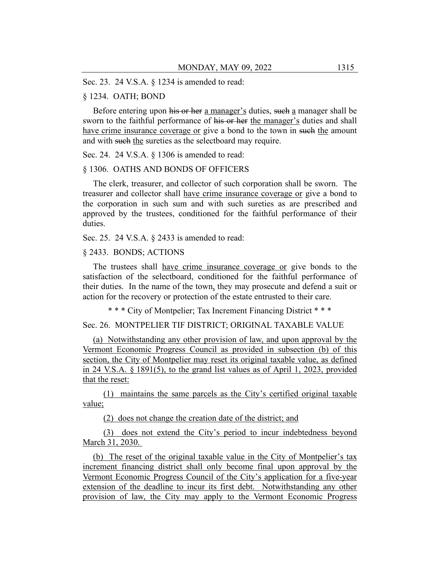Sec. 23. 24 V.S.A. § 1234 is amended to read:

#### § 1234. OATH; BOND

Before entering upon his or her a manager's duties, such a manager shall be sworn to the faithful performance of his or her the manager's duties and shall have crime insurance coverage or give a bond to the town in such the amount and with such the sureties as the selectboard may require.

Sec. 24. 24 V.S.A. § 1306 is amended to read:

#### § 1306. OATHS AND BONDS OF OFFICERS

The clerk, treasurer, and collector of such corporation shall be sworn. The treasurer and collector shall have crime insurance coverage or give a bond to the corporation in such sum and with such sureties as are prescribed and approved by the trustees, conditioned for the faithful performance of their duties.

Sec. 25. 24 V.S.A. § 2433 is amended to read:

§ 2433. BONDS; ACTIONS

The trustees shall have crime insurance coverage or give bonds to the satisfaction of the selectboard, conditioned for the faithful performance of their duties. In the name of the town, they may prosecute and defend a suit or action for the recovery or protection of the estate entrusted to their care.

\* \* \* City of Montpelier; Tax Increment Financing District \* \* \*

Sec. 26. MONTPELIER TIF DISTRICT; ORIGINAL TAXABLE VALUE

(a) Notwithstanding any other provision of law, and upon approval by the Vermont Economic Progress Council as provided in subsection (b) of this section, the City of Montpelier may reset its original taxable value, as defined in 24 V.S.A. § 1891(5), to the grand list values as of April 1, 2023, provided that the reset:

(1) maintains the same parcels as the City's certified original taxable value;

(2) does not change the creation date of the district; and

(3) does not extend the City's period to incur indebtedness beyond March 31, 2030.

(b) The reset of the original taxable value in the City of Montpelier's tax increment financing district shall only become final upon approval by the Vermont Economic Progress Council of the City's application for a five-year extension of the deadline to incur its first debt. Notwithstanding any other provision of law, the City may apply to the Vermont Economic Progress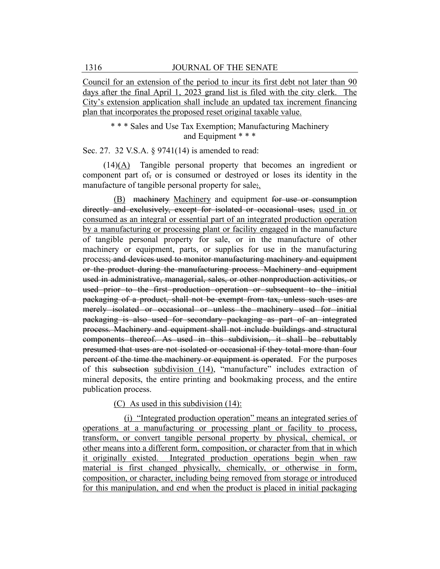Council for an extension of the period to incur its first debt not later than 90 days after the final April 1, 2023 grand list is filed with the city clerk. The City's extension application shall include an updated tax increment financing plan that incorporates the proposed reset original taxable value.

> \* \* \* Sales and Use Tax Exemption; Manufacturing Machinery and Equipment \* \* \*

Sec. 27. 32 V.S.A. § 9741(14) is amended to read:

(14)(A) Tangible personal property that becomes an ingredient or component part of, or is consumed or destroyed or loses its identity in the manufacture of tangible personal property for sale;.

(B) machinery Machinery and equipment for use or consumption directly and exclusively, except for isolated or occasional uses, used in or consumed as an integral or essential part of an integrated production operation by a manufacturing or processing plant or facility engaged in the manufacture of tangible personal property for sale, or in the manufacture of other machinery or equipment, parts, or supplies for use in the manufacturing process; and devices used to monitor manufacturing machinery and equipment or the product during the manufacturing process. Machinery and equipment used in administrative, managerial, sales, or other nonproduction activities, or used prior to the first production operation or subsequent to the initial packaging of a product, shall not be exempt from tax, unless such uses are merely isolated or occasional or unless the machinery used for initial packaging is also used for secondary packaging as part of an integrated process. Machinery and equipment shall not include buildings and structural components thereof. As used in this subdivision, it shall be rebuttably presumed that uses are not isolated or occasional if they total more than four percent of the time the machinery or equipment is operated. For the purposes of this subsection subdivision (14), "manufacture" includes extraction of mineral deposits, the entire printing and bookmaking process, and the entire publication process.

## (C) As used in this subdivision (14):

(i) "Integrated production operation" means an integrated series of operations at a manufacturing or processing plant or facility to process, transform, or convert tangible personal property by physical, chemical, or other means into a different form, composition, or character from that in which it originally existed. Integrated production operations begin when raw material is first changed physically, chemically, or otherwise in form, composition, or character, including being removed from storage or introduced for this manipulation, and end when the product is placed in initial packaging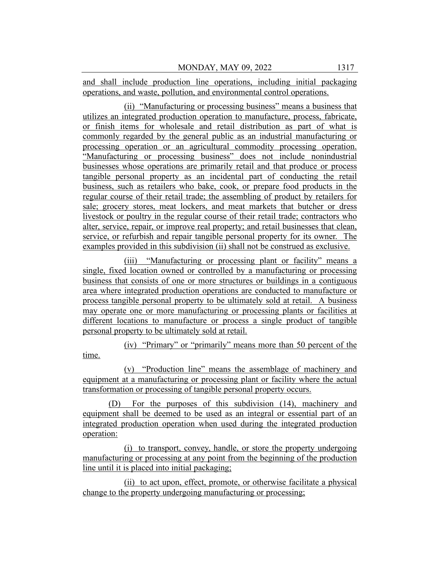and shall include production line operations, including initial packaging operations, and waste, pollution, and environmental control operations.

(ii) "Manufacturing or processing business" means a business that utilizes an integrated production operation to manufacture, process, fabricate, or finish items for wholesale and retail distribution as part of what is commonly regarded by the general public as an industrial manufacturing or processing operation or an agricultural commodity processing operation. "Manufacturing or processing business" does not include nonindustrial businesses whose operations are primarily retail and that produce or process tangible personal property as an incidental part of conducting the retail business, such as retailers who bake, cook, or prepare food products in the regular course of their retail trade; the assembling of product by retailers for sale; grocery stores, meat lockers, and meat markets that butcher or dress livestock or poultry in the regular course of their retail trade; contractors who alter, service, repair, or improve real property; and retail businesses that clean, service, or refurbish and repair tangible personal property for its owner. The examples provided in this subdivision (ii) shall not be construed as exclusive.

(iii) "Manufacturing or processing plant or facility" means a single, fixed location owned or controlled by a manufacturing or processing business that consists of one or more structures or buildings in a contiguous area where integrated production operations are conducted to manufacture or process tangible personal property to be ultimately sold at retail. A business may operate one or more manufacturing or processing plants or facilities at different locations to manufacture or process a single product of tangible personal property to be ultimately sold at retail.

(iv) "Primary" or "primarily" means more than 50 percent of the time.

(v) "Production line" means the assemblage of machinery and equipment at a manufacturing or processing plant or facility where the actual transformation or processing of tangible personal property occurs.

(D) For the purposes of this subdivision (14), machinery and equipment shall be deemed to be used as an integral or essential part of an integrated production operation when used during the integrated production operation:

(i) to transport, convey, handle, or store the property undergoing manufacturing or processing at any point from the beginning of the production line until it is placed into initial packaging;

(ii) to act upon, effect, promote, or otherwise facilitate a physical change to the property undergoing manufacturing or processing;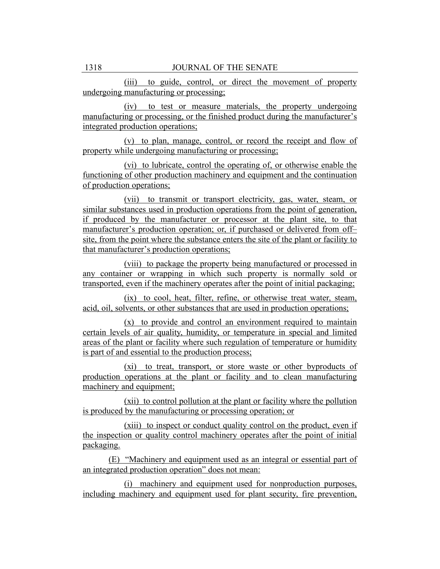(iii) to guide, control, or direct the movement of property undergoing manufacturing or processing;

(iv) to test or measure materials, the property undergoing manufacturing or processing, or the finished product during the manufacturer's integrated production operations;

(v) to plan, manage, control, or record the receipt and flow of property while undergoing manufacturing or processing;

(vi) to lubricate, control the operating of, or otherwise enable the functioning of other production machinery and equipment and the continuation of production operations;

(vii) to transmit or transport electricity, gas, water, steam, or similar substances used in production operations from the point of generation, if produced by the manufacturer or processor at the plant site, to that manufacturer's production operation; or, if purchased or delivered from off– site, from the point where the substance enters the site of the plant or facility to that manufacturer's production operations;

(viii) to package the property being manufactured or processed in any container or wrapping in which such property is normally sold or transported, even if the machinery operates after the point of initial packaging;

(ix) to cool, heat, filter, refine, or otherwise treat water, steam, acid, oil, solvents, or other substances that are used in production operations;

(x) to provide and control an environment required to maintain certain levels of air quality, humidity, or temperature in special and limited areas of the plant or facility where such regulation of temperature or humidity is part of and essential to the production process;

(xi) to treat, transport, or store waste or other byproducts of production operations at the plant or facility and to clean manufacturing machinery and equipment;

(xii) to control pollution at the plant or facility where the pollution is produced by the manufacturing or processing operation; or

(xiii) to inspect or conduct quality control on the product, even if the inspection or quality control machinery operates after the point of initial packaging.

(E) "Machinery and equipment used as an integral or essential part of an integrated production operation" does not mean:

(i) machinery and equipment used for nonproduction purposes, including machinery and equipment used for plant security, fire prevention,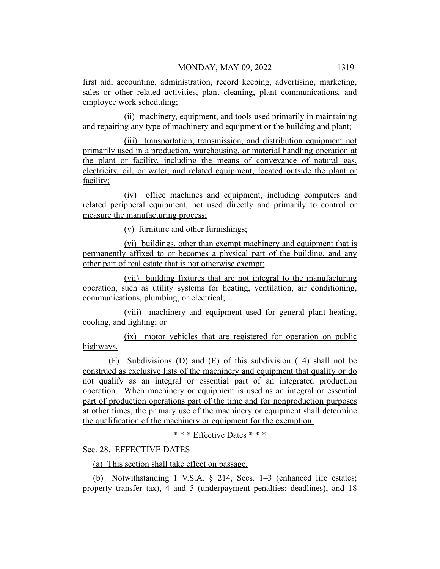first aid, accounting, administration, record keeping, advertising, marketing, sales or other related activities, plant cleaning, plant communications, and employee work scheduling;

(ii) machinery, equipment, and tools used primarily in maintaining and repairing any type of machinery and equipment or the building and plant;

(iii) transportation, transmission, and distribution equipment not primarily used in a production, warehousing, or material handling operation at the plant or facility, including the means of conveyance of natural gas, electricity, oil, or water, and related equipment, located outside the plant or facility;

(iv) office machines and equipment, including computers and related peripheral equipment, not used directly and primarily to control or measure the manufacturing process;

(v) furniture and other furnishings;

(vi) buildings, other than exempt machinery and equipment that is permanently affixed to or becomes a physical part of the building, and any other part of real estate that is not otherwise exempt;

(vii) building fixtures that are not integral to the manufacturing operation, such as utility systems for heating, ventilation, air conditioning, communications, plumbing, or electrical;

(viii) machinery and equipment used for general plant heating, cooling, and lighting; or

(ix) motor vehicles that are registered for operation on public highways.

(F) Subdivisions (D) and (E) of this subdivision (14) shall not be construed as exclusive lists of the machinery and equipment that qualify or do not qualify as an integral or essential part of an integrated production operation. When machinery or equipment is used as an integral or essential part of production operations part of the time and for nonproduction purposes at other times, the primary use of the machinery or equipment shall determine the qualification of the machinery or equipment for the exemption.

\* \* \* Effective Dates \* \* \*

Sec. 28. EFFECTIVE DATES

(a) This section shall take effect on passage.

(b) Notwithstanding 1 V.S.A. § 214, Secs. 1–3 (enhanced life estates; property transfer tax), 4 and 5 (underpayment penalties; deadlines), and 18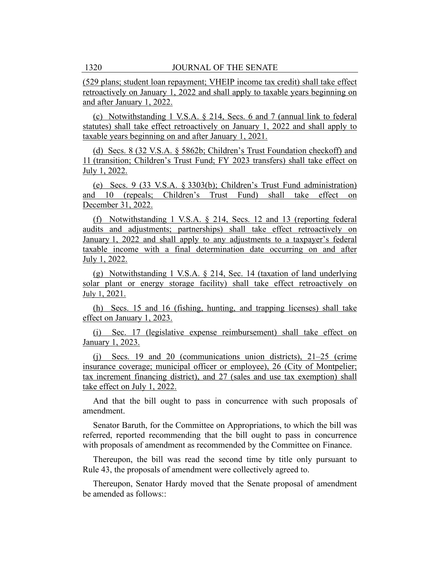(529 plans; student loan repayment; VHEIP income tax credit) shall take effect retroactively on January 1, 2022 and shall apply to taxable years beginning on and after January 1, 2022.

(c) Notwithstanding 1 V.S.A. § 214, Secs. 6 and 7 (annual link to federal statutes) shall take effect retroactively on January 1, 2022 and shall apply to taxable years beginning on and after January 1, 2021.

(d) Secs. 8 (32 V.S.A. § 5862b; Children's Trust Foundation checkoff) and 11 (transition; Children's Trust Fund; FY 2023 transfers) shall take effect on July 1, 2022.

(e) Secs. 9 (33 V.S.A. § 3303(b); Children's Trust Fund administration) and 10 (repeals; Children's Trust Fund) shall take effect on December 31, 2022.

(f) Notwithstanding 1 V.S.A. § 214, Secs. 12 and 13 (reporting federal audits and adjustments; partnerships) shall take effect retroactively on January 1, 2022 and shall apply to any adjustments to a taxpayer's federal taxable income with a final determination date occurring on and after July 1, 2022.

(g) Notwithstanding 1 V.S.A. § 214, Sec. 14 (taxation of land underlying solar plant or energy storage facility) shall take effect retroactively on July 1, 2021.

(h) Secs. 15 and 16 (fishing, hunting, and trapping licenses) shall take effect on January 1, 2023.

(i) Sec. 17 (legislative expense reimbursement) shall take effect on January 1, 2023.

(j) Secs. 19 and 20 (communications union districts), 21–25 (crime insurance coverage; municipal officer or employee), 26 (City of Montpelier; tax increment financing district), and 27 (sales and use tax exemption) shall take effect on July 1, 2022.

And that the bill ought to pass in concurrence with such proposals of amendment.

Senator Baruth, for the Committee on Appropriations, to which the bill was referred, reported recommending that the bill ought to pass in concurrence with proposals of amendment as recommended by the Committee on Finance.

Thereupon, the bill was read the second time by title only pursuant to Rule 43, the proposals of amendment were collectively agreed to.

Thereupon, Senator Hardy moved that the Senate proposal of amendment be amended as follows::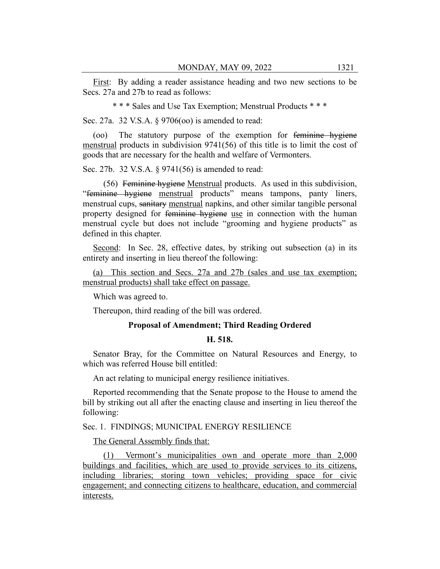First: By adding a reader assistance heading and two new sections to be Secs. 27a and 27b to read as follows:

\* \* \* Sales and Use Tax Exemption; Menstrual Products \* \* \*

Sec. 27a. 32 V.S.A. § 9706(oo) is amended to read:

(oo) The statutory purpose of the exemption for feminine hygiene menstrual products in subdivision 9741(56) of this title is to limit the cost of goods that are necessary for the health and welfare of Vermonters.

Sec. 27b. 32 V.S.A. § 9741(56) is amended to read:

(56) Feminine hygiene Menstrual products. As used in this subdivision, "feminine hygiene menstrual products" means tampons, panty liners, menstrual cups, sanitary menstrual napkins, and other similar tangible personal property designed for feminine hygiene use in connection with the human menstrual cycle but does not include "grooming and hygiene products" as defined in this chapter.

Second: In Sec. 28, effective dates, by striking out subsection (a) in its entirety and inserting in lieu thereof the following:

(a) This section and Secs. 27a and 27b (sales and use tax exemption; menstrual products) shall take effect on passage.

Which was agreed to.

Thereupon, third reading of the bill was ordered.

### **Proposal of Amendment; Third Reading Ordered**

## **H. 518.**

Senator Bray, for the Committee on Natural Resources and Energy, to which was referred House bill entitled:

An act relating to municipal energy resilience initiatives.

Reported recommending that the Senate propose to the House to amend the bill by striking out all after the enacting clause and inserting in lieu thereof the following:

## Sec. 1. FINDINGS; MUNICIPAL ENERGY RESILIENCE

The General Assembly finds that:

(1) Vermont's municipalities own and operate more than 2,000 buildings and facilities, which are used to provide services to its citizens, including libraries; storing town vehicles; providing space for civic engagement; and connecting citizens to healthcare, education, and commercial interests.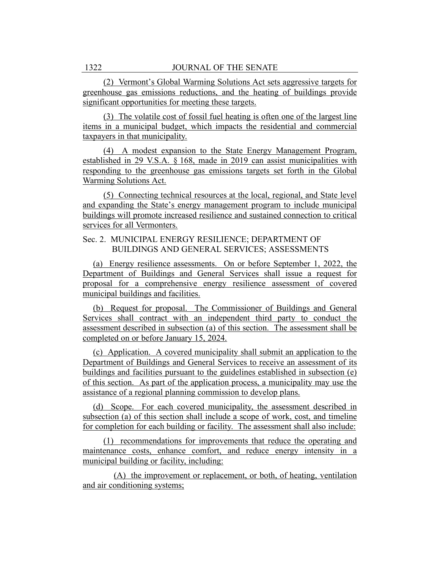(2) Vermont's Global Warming Solutions Act sets aggressive targets for greenhouse gas emissions reductions, and the heating of buildings provide significant opportunities for meeting these targets.

(3) The volatile cost of fossil fuel heating is often one of the largest line items in a municipal budget, which impacts the residential and commercial taxpayers in that municipality.

(4) A modest expansion to the State Energy Management Program, established in 29 V.S.A. § 168, made in 2019 can assist municipalities with responding to the greenhouse gas emissions targets set forth in the Global Warming Solutions Act.

(5) Connecting technical resources at the local, regional, and State level and expanding the State's energy management program to include municipal buildings will promote increased resilience and sustained connection to critical services for all Vermonters.

## Sec. 2. MUNICIPAL ENERGY RESILIENCE; DEPARTMENT OF BUILDINGS AND GENERAL SERVICES; ASSESSMENTS

(a) Energy resilience assessments. On or before September 1, 2022, the Department of Buildings and General Services shall issue a request for proposal for a comprehensive energy resilience assessment of covered municipal buildings and facilities.

(b) Request for proposal. The Commissioner of Buildings and General Services shall contract with an independent third party to conduct the assessment described in subsection (a) of this section. The assessment shall be completed on or before January 15, 2024.

(c) Application. A covered municipality shall submit an application to the Department of Buildings and General Services to receive an assessment of its buildings and facilities pursuant to the guidelines established in subsection (e) of this section. As part of the application process, a municipality may use the assistance of a regional planning commission to develop plans.

(d) Scope. For each covered municipality, the assessment described in subsection (a) of this section shall include a scope of work, cost, and timeline for completion for each building or facility. The assessment shall also include:

(1) recommendations for improvements that reduce the operating and maintenance costs, enhance comfort, and reduce energy intensity in a municipal building or facility, including:

(A) the improvement or replacement, or both, of heating, ventilation and air conditioning systems;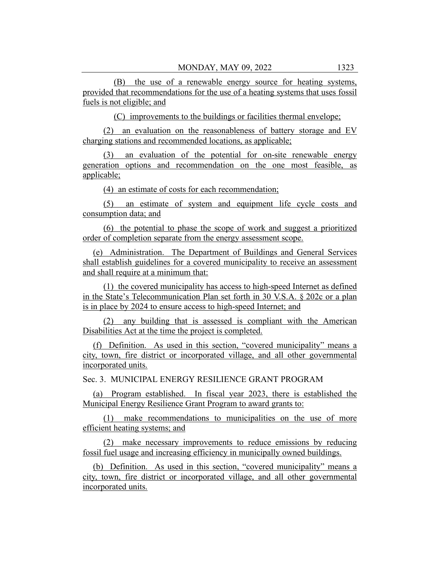(B) the use of a renewable energy source for heating systems, provided that recommendations for the use of a heating systems that uses fossil fuels is not eligible; and

(C) improvements to the buildings or facilities thermal envelope;

(2) an evaluation on the reasonableness of battery storage and EV charging stations and recommended locations, as applicable;

(3) an evaluation of the potential for on-site renewable energy generation options and recommendation on the one most feasible, as applicable;

(4) an estimate of costs for each recommendation;

(5) an estimate of system and equipment life cycle costs and consumption data; and

(6) the potential to phase the scope of work and suggest a prioritized order of completion separate from the energy assessment scope.

(e) Administration. The Department of Buildings and General Services shall establish guidelines for a covered municipality to receive an assessment and shall require at a minimum that:

(1) the covered municipality has access to high-speed Internet as defined in the State's Telecommunication Plan set forth in 30 V.S.A. § 202c or a plan is in place by 2024 to ensure access to high-speed Internet; and

(2) any building that is assessed is compliant with the American Disabilities Act at the time the project is completed.

(f) Definition. As used in this section, "covered municipality" means a city, town, fire district or incorporated village, and all other governmental incorporated units.

Sec. 3. MUNICIPAL ENERGY RESILIENCE GRANT PROGRAM

(a) Program established. In fiscal year 2023, there is established the Municipal Energy Resilience Grant Program to award grants to:

(1) make recommendations to municipalities on the use of more efficient heating systems; and

(2) make necessary improvements to reduce emissions by reducing fossil fuel usage and increasing efficiency in municipally owned buildings.

(b) Definition. As used in this section, "covered municipality" means a city, town, fire district or incorporated village, and all other governmental incorporated units.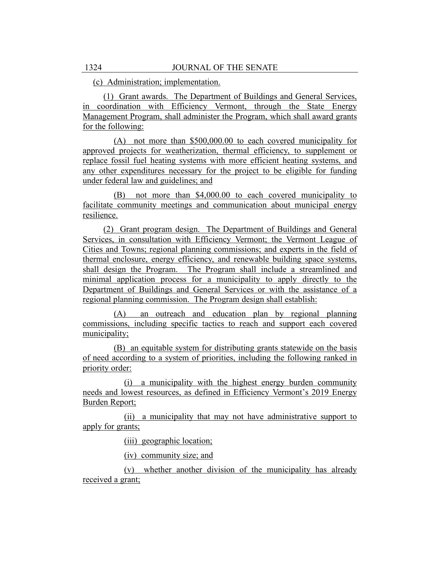(c) Administration; implementation.

(1) Grant awards. The Department of Buildings and General Services, in coordination with Efficiency Vermont, through the State Energy Management Program, shall administer the Program, which shall award grants for the following:

(A) not more than \$500,000.00 to each covered municipality for approved projects for weatherization, thermal efficiency, to supplement or replace fossil fuel heating systems with more efficient heating systems, and any other expenditures necessary for the project to be eligible for funding under federal law and guidelines; and

(B) not more than \$4,000.00 to each covered municipality to facilitate community meetings and communication about municipal energy resilience.

(2) Grant program design. The Department of Buildings and General Services, in consultation with Efficiency Vermont; the Vermont League of Cities and Towns; regional planning commissions; and experts in the field of thermal enclosure, energy efficiency, and renewable building space systems, shall design the Program. The Program shall include a streamlined and minimal application process for a municipality to apply directly to the Department of Buildings and General Services or with the assistance of a regional planning commission. The Program design shall establish:

(A) an outreach and education plan by regional planning commissions, including specific tactics to reach and support each covered municipality;

(B) an equitable system for distributing grants statewide on the basis of need according to a system of priorities, including the following ranked in priority order:

(i) a municipality with the highest energy burden community needs and lowest resources, as defined in Efficiency Vermont's 2019 Energy Burden Report;

(ii) a municipality that may not have administrative support to apply for grants;

(iii) geographic location;

(iv) community size; and

(v) whether another division of the municipality has already received a grant;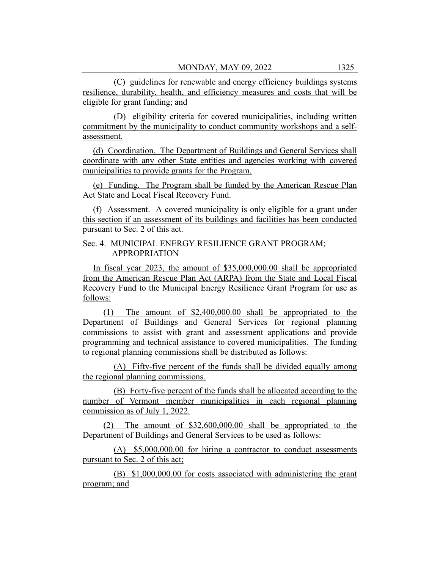(C) guidelines for renewable and energy efficiency buildings systems resilience, durability, health, and efficiency measures and costs that will be eligible for grant funding; and

(D) eligibility criteria for covered municipalities, including written commitment by the municipality to conduct community workshops and a selfassessment.

(d) Coordination. The Department of Buildings and General Services shall coordinate with any other State entities and agencies working with covered municipalities to provide grants for the Program.

(e) Funding. The Program shall be funded by the American Rescue Plan Act State and Local Fiscal Recovery Fund.

(f) Assessment. A covered municipality is only eligible for a grant under this section if an assessment of its buildings and facilities has been conducted pursuant to Sec. 2 of this act.

Sec. 4. MUNICIPAL ENERGY RESILIENCE GRANT PROGRAM; APPROPRIATION

In fiscal year 2023, the amount of \$35,000,000.00 shall be appropriated from the American Rescue Plan Act (ARPA) from the State and Local Fiscal Recovery Fund to the Municipal Energy Resilience Grant Program for use as follows:

(1) The amount of \$2,400,000.00 shall be appropriated to the Department of Buildings and General Services for regional planning commissions to assist with grant and assessment applications and provide programming and technical assistance to covered municipalities. The funding to regional planning commissions shall be distributed as follows:

(A) Fifty-five percent of the funds shall be divided equally among the regional planning commissions.

(B) Forty-five percent of the funds shall be allocated according to the number of Vermont member municipalities in each regional planning commission as of July 1, 2022.

(2) The amount of \$32,600,000.00 shall be appropriated to the Department of Buildings and General Services to be used as follows:

(A) \$5,000,000.00 for hiring a contractor to conduct assessments pursuant to Sec. 2 of this act;

(B) \$1,000,000.00 for costs associated with administering the grant program; and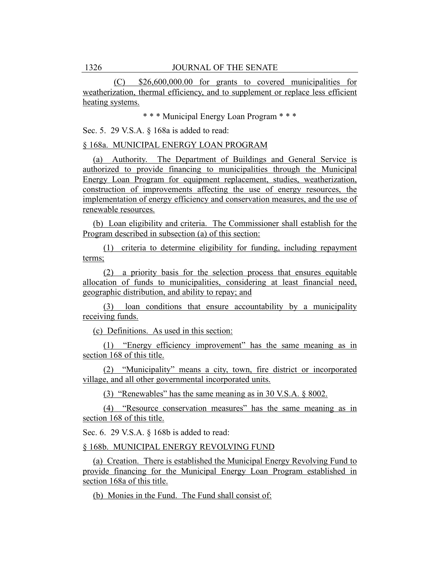(C) \$26,600,000.00 for grants to covered municipalities for weatherization, thermal efficiency, and to supplement or replace less efficient heating systems.

\* \* \* Municipal Energy Loan Program \* \* \*

Sec. 5. 29 V.S.A. § 168a is added to read:

§ 168a. MUNICIPAL ENERGY LOAN PROGRAM

(a) Authority. The Department of Buildings and General Service is authorized to provide financing to municipalities through the Municipal Energy Loan Program for equipment replacement, studies, weatherization, construction of improvements affecting the use of energy resources, the implementation of energy efficiency and conservation measures, and the use of renewable resources.

(b) Loan eligibility and criteria. The Commissioner shall establish for the Program described in subsection (a) of this section:

(1) criteria to determine eligibility for funding, including repayment terms;

(2) a priority basis for the selection process that ensures equitable allocation of funds to municipalities, considering at least financial need, geographic distribution, and ability to repay; and

(3) loan conditions that ensure accountability by a municipality receiving funds.

(c) Definitions. As used in this section:

(1) "Energy efficiency improvement" has the same meaning as in section 168 of this title.

(2) "Municipality" means a city, town, fire district or incorporated village, and all other governmental incorporated units.

(3) "Renewables" has the same meaning as in 30 V.S.A. § 8002.

(4) "Resource conservation measures" has the same meaning as in section 168 of this title.

Sec. 6. 29 V.S.A. § 168b is added to read:

§ 168b. MUNICIPAL ENERGY REVOLVING FUND

(a) Creation. There is established the Municipal Energy Revolving Fund to provide financing for the Municipal Energy Loan Program established in section 168a of this title.

(b) Monies in the Fund. The Fund shall consist of: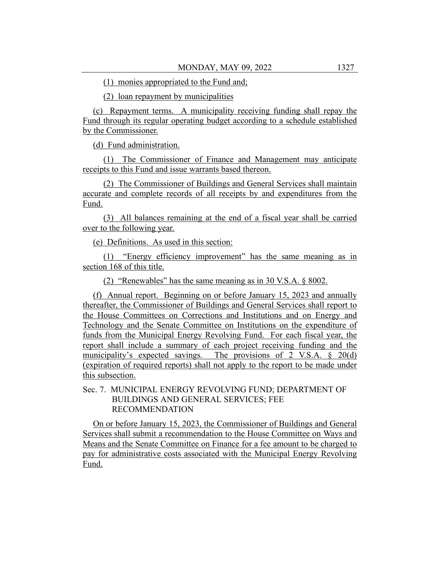(1) monies appropriated to the Fund and;

(2) loan repayment by municipalities

(c) Repayment terms. A municipality receiving funding shall repay the Fund through its regular operating budget according to a schedule established by the Commissioner.

(d) Fund administration.

(1) The Commissioner of Finance and Management may anticipate receipts to this Fund and issue warrants based thereon.

(2) The Commissioner of Buildings and General Services shall maintain accurate and complete records of all receipts by and expenditures from the Fund.

(3) All balances remaining at the end of a fiscal year shall be carried over to the following year.

(e) Definitions. As used in this section:

(1) "Energy efficiency improvement" has the same meaning as in section 168 of this title.

(2) "Renewables" has the same meaning as in 30 V.S.A. § 8002.

(f) Annual report. Beginning on or before January 15, 2023 and annually thereafter, the Commissioner of Buildings and General Services shall report to the House Committees on Corrections and Institutions and on Energy and Technology and the Senate Committee on Institutions on the expenditure of funds from the Municipal Energy Revolving Fund. For each fiscal year, the report shall include a summary of each project receiving funding and the municipality's expected savings. The provisions of 2 V.S.A. § 20(d) (expiration of required reports) shall not apply to the report to be made under this subsection.

## Sec. 7. MUNICIPAL ENERGY REVOLVING FUND; DEPARTMENT OF BUILDINGS AND GENERAL SERVICES; FEE RECOMMENDATION

On or before January 15, 2023, the Commissioner of Buildings and General Services shall submit a recommendation to the House Committee on Ways and Means and the Senate Committee on Finance for a fee amount to be charged to pay for administrative costs associated with the Municipal Energy Revolving Fund.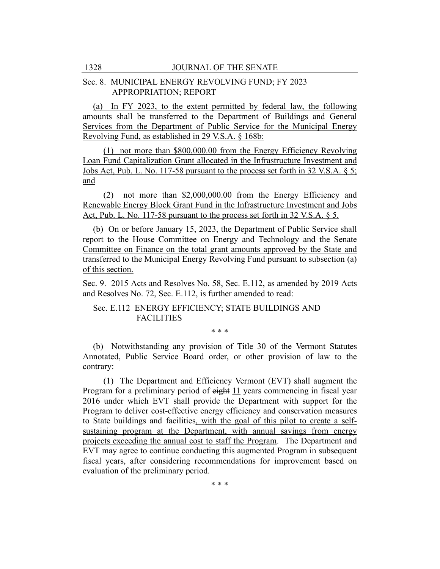## Sec. 8. MUNICIPAL ENERGY REVOLVING FUND; FY 2023 APPROPRIATION; REPORT

(a) In FY 2023, to the extent permitted by federal law, the following amounts shall be transferred to the Department of Buildings and General Services from the Department of Public Service for the Municipal Energy Revolving Fund, as established in 29 V.S.A. § 168b:

(1) not more than \$800,000.00 from the Energy Efficiency Revolving Loan Fund Capitalization Grant allocated in the Infrastructure Investment and Jobs Act, Pub. L. No. 117-58 pursuant to the process set forth in 32 V.S.A. § 5; and

(2) not more than \$2,000,000.00 from the Energy Efficiency and Renewable Energy Block Grant Fund in the Infrastructure Investment and Jobs Act, Pub. L. No. 117-58 pursuant to the process set forth in 32 V.S.A. § 5.

(b) On or before January 15, 2023, the Department of Public Service shall report to the House Committee on Energy and Technology and the Senate Committee on Finance on the total grant amounts approved by the State and transferred to the Municipal Energy Revolving Fund pursuant to subsection (a) of this section.

Sec. 9. 2015 Acts and Resolves No. 58, Sec. E.112, as amended by 2019 Acts and Resolves No. 72, Sec. E.112, is further amended to read:

# Sec. E.112 ENERGY EFFICIENCY; STATE BUILDINGS AND FACILITIES

\* \* \*

(b) Notwithstanding any provision of Title 30 of the Vermont Statutes Annotated, Public Service Board order, or other provision of law to the contrary:

(1) The Department and Efficiency Vermont (EVT) shall augment the Program for a preliminary period of eight 11 years commencing in fiscal year 2016 under which EVT shall provide the Department with support for the Program to deliver cost-effective energy efficiency and conservation measures to State buildings and facilities, with the goal of this pilot to create a selfsustaining program at the Department, with annual savings from energy projects exceeding the annual cost to staff the Program. The Department and EVT may agree to continue conducting this augmented Program in subsequent fiscal years, after considering recommendations for improvement based on evaluation of the preliminary period.

\* \* \*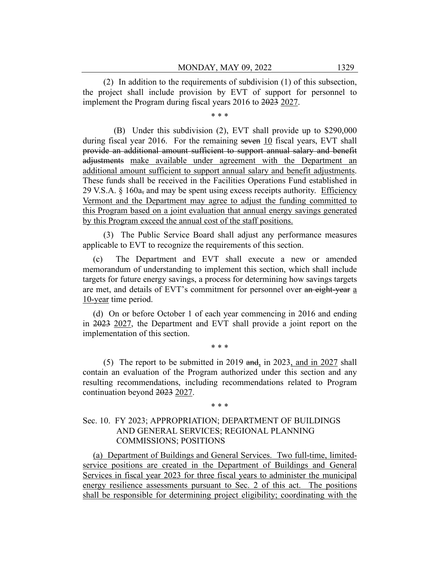(2) In addition to the requirements of subdivision (1) of this subsection, the project shall include provision by EVT of support for personnel to implement the Program during fiscal years 2016 to 2023 2027.

\* \* \*

(B) Under this subdivision (2), EVT shall provide up to \$290,000 during fiscal year 2016. For the remaining seven 10 fiscal years, EVT shall provide an additional amount sufficient to support annual salary and benefit adjustments make available under agreement with the Department an additional amount sufficient to support annual salary and benefit adjustments. These funds shall be received in the Facilities Operations Fund established in 29 V.S.A.  $\S$  160a<sub>7</sub> and may be spent using excess receipts authority. Efficiency Vermont and the Department may agree to adjust the funding committed to this Program based on a joint evaluation that annual energy savings generated by this Program exceed the annual cost of the staff positions.

(3) The Public Service Board shall adjust any performance measures applicable to EVT to recognize the requirements of this section.

(c) The Department and EVT shall execute a new or amended memorandum of understanding to implement this section, which shall include targets for future energy savings, a process for determining how savings targets are met, and details of EVT's commitment for personnel over an eight-year a 10-year time period.

(d) On or before October 1 of each year commencing in 2016 and ending in 2023 2027, the Department and EVT shall provide a joint report on the implementation of this section.

\* \* \*

(5) The report to be submitted in 2019 and, in 2023, and in 2027 shall contain an evaluation of the Program authorized under this section and any resulting recommendations, including recommendations related to Program continuation beyond 2023 2027.

\* \* \*

## Sec. 10. FY 2023; APPROPRIATION; DEPARTMENT OF BUILDINGS AND GENERAL SERVICES; REGIONAL PLANNING COMMISSIONS; POSITIONS

(a) Department of Buildings and General Services. Two full-time, limitedservice positions are created in the Department of Buildings and General Services in fiscal year 2023 for three fiscal years to administer the municipal energy resilience assessments pursuant to Sec. 2 of this act. The positions shall be responsible for determining project eligibility; coordinating with the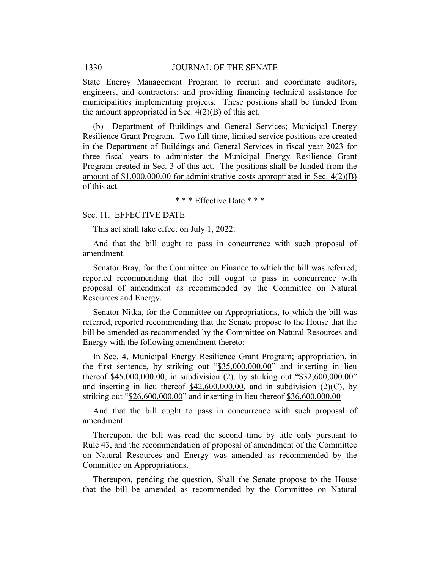State Energy Management Program to recruit and coordinate auditors, engineers, and contractors; and providing financing technical assistance for municipalities implementing projects. These positions shall be funded from the amount appropriated in Sec.  $4(2)(B)$  of this act.

(b) Department of Buildings and General Services; Municipal Energy Resilience Grant Program. Two full-time, limited-service positions are created in the Department of Buildings and General Services in fiscal year 2023 for three fiscal years to administer the Municipal Energy Resilience Grant Program created in Sec. 3 of this act. The positions shall be funded from the amount of  $$1,000,000.00$  for administrative costs appropriated in Sec.  $4(2)(B)$ of this act.

#### \* \* \* Effective Date \* \* \*

## Sec. 11. EFFECTIVE DATE

This act shall take effect on July 1, 2022.

And that the bill ought to pass in concurrence with such proposal of amendment.

Senator Bray, for the Committee on Finance to which the bill was referred, reported recommending that the bill ought to pass in concurrence with proposal of amendment as recommended by the Committee on Natural Resources and Energy.

Senator Nitka, for the Committee on Appropriations, to which the bill was referred, reported recommending that the Senate propose to the House that the bill be amended as recommended by the Committee on Natural Resources and Energy with the following amendment thereto:

In Sec. 4, Municipal Energy Resilience Grant Program; appropriation, in the first sentence, by striking out "\$35,000,000.00" and inserting in lieu thereof \$45,000,000.00, in subdivision (2), by striking out "\$32,600,000.00" and inserting in lieu thereof  $$42,600,000.00$ , and in subdivision (2)(C), by striking out "\$26,600,000.00" and inserting in lieu thereof \$36,600,000.00

And that the bill ought to pass in concurrence with such proposal of amendment.

Thereupon, the bill was read the second time by title only pursuant to Rule 43, and the recommendation of proposal of amendment of the Committee on Natural Resources and Energy was amended as recommended by the Committee on Appropriations.

Thereupon, pending the question, Shall the Senate propose to the House that the bill be amended as recommended by the Committee on Natural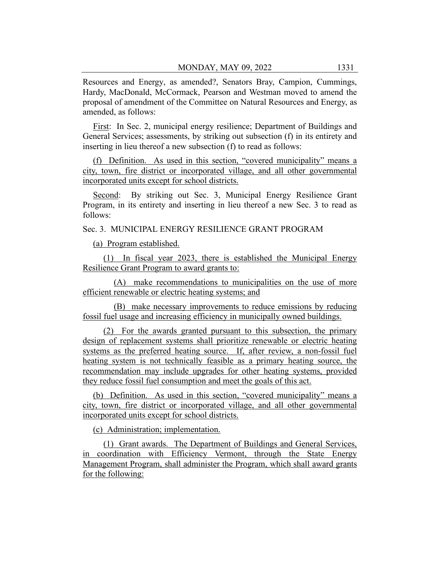Resources and Energy, as amended?, Senators Bray, Campion, Cummings, Hardy, MacDonald, McCormack, Pearson and Westman moved to amend the proposal of amendment of the Committee on Natural Resources and Energy, as amended, as follows:

First: In Sec. 2, municipal energy resilience; Department of Buildings and General Services; assessments, by striking out subsection (f) in its entirety and inserting in lieu thereof a new subsection (f) to read as follows:

(f) Definition. As used in this section, "covered municipality" means a city, town, fire district or incorporated village, and all other governmental incorporated units except for school districts.

Second: By striking out Sec. 3, Municipal Energy Resilience Grant Program, in its entirety and inserting in lieu thereof a new Sec. 3 to read as follows:

Sec. 3. MUNICIPAL ENERGY RESILIENCE GRANT PROGRAM

(a) Program established.

(1) In fiscal year 2023, there is established the Municipal Energy Resilience Grant Program to award grants to:

(A) make recommendations to municipalities on the use of more efficient renewable or electric heating systems; and

(B) make necessary improvements to reduce emissions by reducing fossil fuel usage and increasing efficiency in municipally owned buildings.

(2) For the awards granted pursuant to this subsection, the primary design of replacement systems shall prioritize renewable or electric heating systems as the preferred heating source. If, after review, a non-fossil fuel heating system is not technically feasible as a primary heating source, the recommendation may include upgrades for other heating systems, provided they reduce fossil fuel consumption and meet the goals of this act.

(b) Definition. As used in this section, "covered municipality" means a city, town, fire district or incorporated village, and all other governmental incorporated units except for school districts.

(c) Administration; implementation.

(1) Grant awards. The Department of Buildings and General Services, in coordination with Efficiency Vermont, through the State Energy Management Program, shall administer the Program, which shall award grants for the following: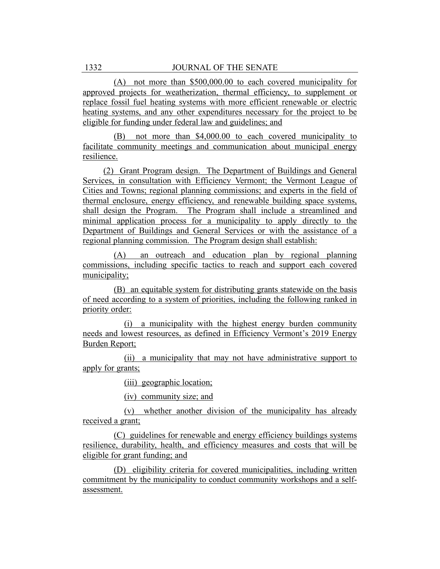(A) not more than \$500,000.00 to each covered municipality for approved projects for weatherization, thermal efficiency, to supplement or replace fossil fuel heating systems with more efficient renewable or electric heating systems, and any other expenditures necessary for the project to be eligible for funding under federal law and guidelines; and

(B) not more than \$4,000.00 to each covered municipality to facilitate community meetings and communication about municipal energy resilience.

(2) Grant Program design. The Department of Buildings and General Services, in consultation with Efficiency Vermont; the Vermont League of Cities and Towns; regional planning commissions; and experts in the field of thermal enclosure, energy efficiency, and renewable building space systems, shall design the Program. The Program shall include a streamlined and minimal application process for a municipality to apply directly to the Department of Buildings and General Services or with the assistance of a regional planning commission. The Program design shall establish:

(A) an outreach and education plan by regional planning commissions, including specific tactics to reach and support each covered municipality;

(B) an equitable system for distributing grants statewide on the basis of need according to a system of priorities, including the following ranked in priority order:

(i) a municipality with the highest energy burden community needs and lowest resources, as defined in Efficiency Vermont's 2019 Energy Burden Report;

(ii) a municipality that may not have administrative support to apply for grants;

(iii) geographic location;

(iv) community size; and

(v) whether another division of the municipality has already received a grant;

(C) guidelines for renewable and energy efficiency buildings systems resilience, durability, health, and efficiency measures and costs that will be eligible for grant funding; and

(D) eligibility criteria for covered municipalities, including written commitment by the municipality to conduct community workshops and a selfassessment.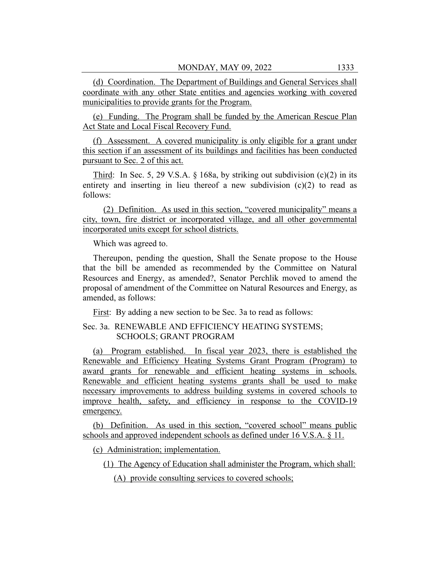(d) Coordination. The Department of Buildings and General Services shall coordinate with any other State entities and agencies working with covered municipalities to provide grants for the Program.

(e) Funding. The Program shall be funded by the American Rescue Plan Act State and Local Fiscal Recovery Fund.

(f) Assessment. A covered municipality is only eligible for a grant under this section if an assessment of its buildings and facilities has been conducted pursuant to Sec. 2 of this act.

Third: In Sec. 5, 29 V.S.A.  $\S$  168a, by striking out subdivision (c)(2) in its entirety and inserting in lieu thereof a new subdivision (c)(2) to read as follows:

(2) Definition. As used in this section, "covered municipality" means a city, town, fire district or incorporated village, and all other governmental incorporated units except for school districts.

Which was agreed to.

Thereupon, pending the question, Shall the Senate propose to the House that the bill be amended as recommended by the Committee on Natural Resources and Energy, as amended?, Senator Perchlik moved to amend the proposal of amendment of the Committee on Natural Resources and Energy, as amended, as follows:

First: By adding a new section to be Sec. 3a to read as follows:

## Sec. 3a. RENEWABLE AND EFFICIENCY HEATING SYSTEMS; SCHOOLS; GRANT PROGRAM

(a) Program established. In fiscal year 2023, there is established the Renewable and Efficiency Heating Systems Grant Program (Program) to award grants for renewable and efficient heating systems in schools. Renewable and efficient heating systems grants shall be used to make necessary improvements to address building systems in covered schools to improve health, safety, and efficiency in response to the COVID-19 emergency.

(b) Definition. As used in this section, "covered school" means public schools and approved independent schools as defined under 16 V.S.A. § 11.

(c) Administration; implementation.

(1) The Agency of Education shall administer the Program, which shall:

(A) provide consulting services to covered schools;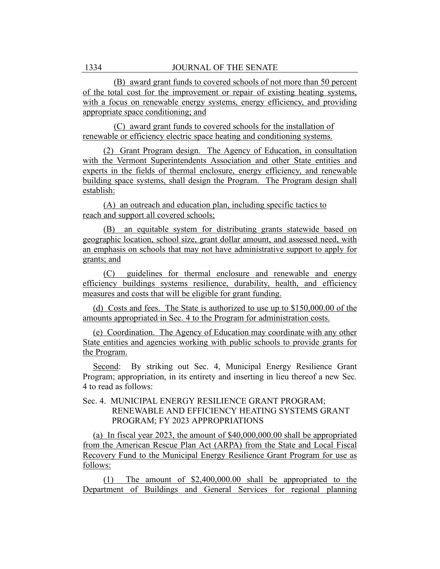(B) award grant funds to covered schools of not more than 50 percent of the total cost for the improvement or repair of existing heating systems, with a focus on renewable energy systems, energy efficiency, and providing appropriate space conditioning; and

(C) award grant funds to covered schools for the installation of renewable or efficiency electric space heating and conditioning systems.

(2) Grant Program design. The Agency of Education, in consultation with the Vermont Superintendents Association and other State entities and experts in the fields of thermal enclosure, energy efficiency, and renewable building space systems, shall design the Program. The Program design shall establish:

(A) an outreach and education plan, including specific tactics to reach and support all covered schools;

(B) an equitable system for distributing grants statewide based on geographic location, school size, grant dollar amount, and assessed need, with an emphasis on schools that may not have administrative support to apply for grants; and

(C) guidelines for thermal enclosure and renewable and energy efficiency buildings systems resilience, durability, health, and efficiency measures and costs that will be eligible for grant funding.

(d) Costs and fees. The State is authorized to use up to \$150,000.00 of the amounts appropriated in Sec. 4 to the Program for administration costs.

(e) Coordination. The Agency of Education may coordinate with any other State entities and agencies working with public schools to provide grants for the Program.

Second: By striking out Sec. 4, Municipal Energy Resilience Grant Program; appropriation, in its entirety and inserting in lieu thereof a new Sec. 4 to read as follows:

# Sec. 4. MUNICIPAL ENERGY RESILIENCE GRANT PROGRAM; RENEWABLE AND EFFICIENCY HEATING SYSTEMS GRANT PROGRAM; FY 2023 APPROPRIATIONS

(a) In fiscal year 2023, the amount of \$40,000,000.00 shall be appropriated from the American Rescue Plan Act (ARPA) from the State and Local Fiscal Recovery Fund to the Municipal Energy Resilience Grant Program for use as follows:

(1) The amount of \$2,400,000.00 shall be appropriated to the Department of Buildings and General Services for regional planning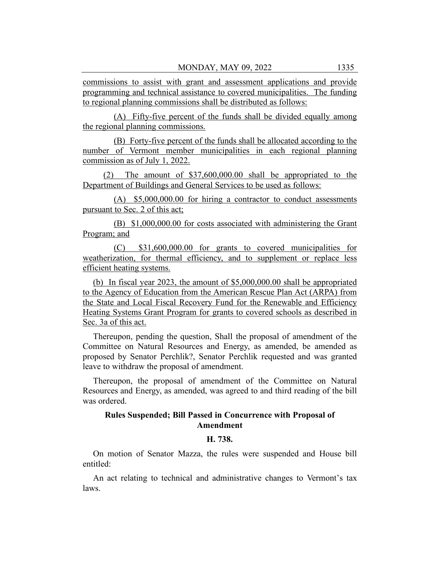commissions to assist with grant and assessment applications and provide programming and technical assistance to covered municipalities. The funding to regional planning commissions shall be distributed as follows:

(A) Fifty-five percent of the funds shall be divided equally among the regional planning commissions.

(B) Forty-five percent of the funds shall be allocated according to the number of Vermont member municipalities in each regional planning commission as of July 1, 2022.

(2) The amount of \$37,600,000.00 shall be appropriated to the Department of Buildings and General Services to be used as follows:

(A) \$5,000,000.00 for hiring a contractor to conduct assessments pursuant to Sec. 2 of this act;

(B) \$1,000,000.00 for costs associated with administering the Grant Program; and

(C) \$31,600,000.00 for grants to covered municipalities for weatherization, for thermal efficiency, and to supplement or replace less efficient heating systems.

(b) In fiscal year 2023, the amount of \$5,000,000.00 shall be appropriated to the Agency of Education from the American Rescue Plan Act (ARPA) from the State and Local Fiscal Recovery Fund for the Renewable and Efficiency Heating Systems Grant Program for grants to covered schools as described in Sec. 3a of this act.

Thereupon, pending the question, Shall the proposal of amendment of the Committee on Natural Resources and Energy, as amended, be amended as proposed by Senator Perchlik?, Senator Perchlik requested and was granted leave to withdraw the proposal of amendment.

Thereupon, the proposal of amendment of the Committee on Natural Resources and Energy, as amended, was agreed to and third reading of the bill was ordered.

### **Rules Suspended; Bill Passed in Concurrence with Proposal of Amendment**

## **H. 738.**

On motion of Senator Mazza, the rules were suspended and House bill entitled:

An act relating to technical and administrative changes to Vermont's tax laws.